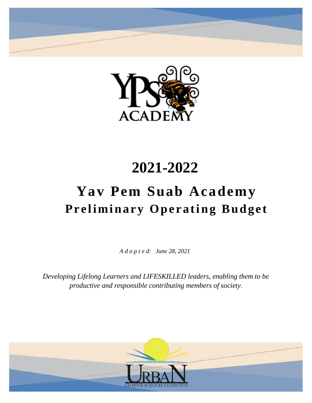



## **2021-2022**

# **Yav Pem Suab Academy Preliminary Operating Budget**

*A d o p t e d: June 28, 2021*

*Developing Lifelong Learners and LIFESKILLED leaders, enabling them to be productive and responsible contributing members of society.*

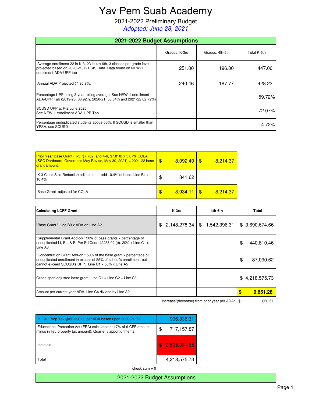## Yav Pem Suab Academy

2021-2022 Preliminary Budget

*Adopted: June 28, 2021*

| 2021-2022 Budget Assumptions                                                                                                                                      |               |                 |             |  |  |
|-------------------------------------------------------------------------------------------------------------------------------------------------------------------|---------------|-----------------|-------------|--|--|
|                                                                                                                                                                   | Grades: K-3rd | Grades: 4th-6th | Total K-6th |  |  |
| Average enrollment 22 in K-3, 23 in 4th-6th. 3 classes per grade level<br>projected based on 2020-21, P-1 SIS Data. Data found on NEW-1<br>enrollment-ADA-UPP tab | 251.00        | 196.00          | 447.00      |  |  |
| Annual ADA Projected @ 95.8%.                                                                                                                                     | 240.46        | 187.77          | 428.23      |  |  |
| Percentage UPP using 3-year rolling average. See NEW-1 enrollment-<br>ADA-UPP Tab (2019-20: 63.92%, 2020-21: 56.34% and 2021-22 62.72%)                           |               |                 | 59.72%      |  |  |
| SCUSD UPP.at P-2 June 2020<br>See NEW-1 enrollment-ADA-UPP Tab                                                                                                    |               |                 | 72.07%      |  |  |
| Percentage unduplicated students above 55%. If SCUSD is smaller than<br>YPSA, use SCUSD                                                                           |               |                 | 4.72%       |  |  |

| <b>Prior Year Base Grant (K-3, \$7,702 and 4-6, \$7,818) x 5.07% COLA</b><br>$(SSC$ Dartboard: Governor's May Revise, May 30, 2021) = 2021-22 base<br><b>grant</b> amount. | -\$ | 8.092.49 | 8.214.37 |
|----------------------------------------------------------------------------------------------------------------------------------------------------------------------------|-----|----------|----------|
| K-3 Class Size Reduction adjustment - add 10.4% of base. Line B1 x<br>10.4%                                                                                                | \$  | 841.62   |          |
| Base Grant adjusted for COLA                                                                                                                                               | \$  | 8,934.11 | 8.214.37 |

| <b>Calculating LCFF Grant</b>                                                                                                                                                                     | K-3rd              | 4th-6th            | Total            |
|---------------------------------------------------------------------------------------------------------------------------------------------------------------------------------------------------|--------------------|--------------------|------------------|
| "Base Grant." Line B3 x ADA on Line A2                                                                                                                                                            | 2,148,278.34<br>\$ | \$<br>1,542,396.31 | \$ 3,690,674.66  |
| "Supplemental Grant Add-on." 20% of base grants x percentage of<br>unduplicated LI, EL, & F. Per Ed Code 42238.02 (e). 20% x Line C1 x<br>Line A <sub>3</sub>                                     |                    |                    | \$<br>440,810.46 |
| "Concentration Grant Add-on." 50% of the base grant x percentage of<br>unduplicated enrollment in excess of 55% of school's enrollment, but<br>cannot exceed SCUSD's UPP. Line C1 x 50% x Line A5 |                    |                    | \$<br>87,090.62  |
| Grade span adjusted base grant. Line C1 $+$ Line C2 $+$ Line C3                                                                                                                                   |                    |                    | \$4,218,575.73   |
| Amount per current year ADA. Line C4 divided by Line A2                                                                                                                                           |                    |                    | S<br>9,851.28    |

increase/(decrease) from prior year per ADA: \$ 650.57

| u por <i>non</i> a. φ | ັບ |
|-----------------------|----|
|                       |    |
|                       |    |

| In Lieu Prop Tax $@$2,326.66$ per ADA based upon 2020-21 P-2                                                                        | 996,336.31       |
|-------------------------------------------------------------------------------------------------------------------------------------|------------------|
| Educational Protection Act (EPA) calculated at 17% of (LCFF amount<br>minus in lieu property tax amount). Quarterly apportionments. | \$<br>717,157.87 |
| state aid                                                                                                                           | \$2,505,081.55   |
| Total                                                                                                                               | 4,218,575.73     |
| check sum $= 0$                                                                                                                     |                  |

2021-2022 Budget Assumptions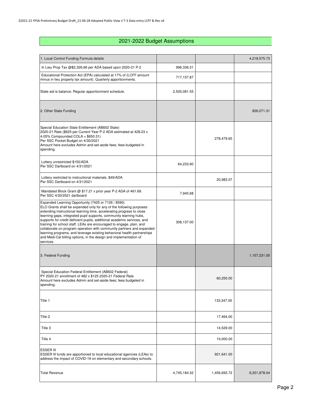## 2021-2022 Budget Assumptions

| 1. Local Control Funding Formula details                                                                                                                                                                                                                                                                                                                                                                                                                                                                                                                                                                                                                           |              |              | 4,218,575.73 |
|--------------------------------------------------------------------------------------------------------------------------------------------------------------------------------------------------------------------------------------------------------------------------------------------------------------------------------------------------------------------------------------------------------------------------------------------------------------------------------------------------------------------------------------------------------------------------------------------------------------------------------------------------------------------|--------------|--------------|--------------|
| In Lieu Prop Tax @\$2,326.66 per ADA based upon 2020-21 P-2                                                                                                                                                                                                                                                                                                                                                                                                                                                                                                                                                                                                        | 996,336.31   |              |              |
| Educational Protection Act (EPA) calculated at 17% of (LCFF amount<br>minus in lieu property tax amount). Quarterly apportionments.                                                                                                                                                                                                                                                                                                                                                                                                                                                                                                                                | 717,157.87   |              |              |
| State aid is balance. Regular apportionment schedule.                                                                                                                                                                                                                                                                                                                                                                                                                                                                                                                                                                                                              | 2,505,081.55 |              |              |
| 2. Other State Funding                                                                                                                                                                                                                                                                                                                                                                                                                                                                                                                                                                                                                                             |              |              | 826,071.31   |
| Special Education State Entitlement (AB602 State)<br>2020-21 Rate (\$625 per Current Year P-2 ADA estimated at 428.23 x<br>4.05% Compounded COLA = $$650.31$ )<br>Per SSC Pocket Budget on 4/30/2021<br>Amount here excludes Admin and set-aside fees; fees budgeted in<br>spending.                                                                                                                                                                                                                                                                                                                                                                               |              | 278,479.65   |              |
| Lottery unrestricted \$150/ADA<br>Per SSC Dartboard on 4/31/2021                                                                                                                                                                                                                                                                                                                                                                                                                                                                                                                                                                                                   | 64,233.90    |              |              |
| Lottery restricted to instructional materials. \$49/ADA<br>Per SSC Dartboard on 4/31/2021                                                                                                                                                                                                                                                                                                                                                                                                                                                                                                                                                                          |              | 20,983.07    |              |
| Mandated Block Grant @ \$17.21 x prior year P-2 ADA of 461.69.<br>Per SSC 4/30/2021 dartboard                                                                                                                                                                                                                                                                                                                                                                                                                                                                                                                                                                      | 7,945.68     |              |              |
| Expanded Learning Opportunity (7425 or 7126 / 8590)<br>ELO Grants shall be expended only for any of the following purposes:<br>extending instructional learning time, accelerating progress to close<br>learning gaps, integrated pupil supports, community learning hubs,<br>supports for credit deficient pupils, additional academic services, and<br>training for school staff. LEAs are encouraged to engage, plan, and<br>collaborate on program operation with community partners and expanded<br>learning programs, and leverage existing behavioral health partnerships<br>and Medi-Cal billing options, in the design and implementation of<br>services. | 308,137.00   |              |              |
| 3. Federal Funding                                                                                                                                                                                                                                                                                                                                                                                                                                                                                                                                                                                                                                                 |              |              | 1,157,231.00 |
| Special Education Federal Entitlement (AB602 Federal)<br>PY 2020-21 enrollment of 482 x \$125 2020-21 Federal Rate<br>Amount here excludes Admin and set-aside fees; fees budgeted in<br>spending.                                                                                                                                                                                                                                                                                                                                                                                                                                                                 |              | 60,250.00    |              |
| Title 1                                                                                                                                                                                                                                                                                                                                                                                                                                                                                                                                                                                                                                                            |              | 133,347.00   |              |
| Title 2                                                                                                                                                                                                                                                                                                                                                                                                                                                                                                                                                                                                                                                            |              | 17,464.00    |              |
| Title 3                                                                                                                                                                                                                                                                                                                                                                                                                                                                                                                                                                                                                                                            |              | 14,529.00    |              |
| Title 4                                                                                                                                                                                                                                                                                                                                                                                                                                                                                                                                                                                                                                                            |              | 10,000.00    |              |
| <b>ESSER III</b><br>ESSER III funds are apportioned to local educational agencies (LEAs) to<br>address the impact of COVID-19 on elementary and secondary schools.                                                                                                                                                                                                                                                                                                                                                                                                                                                                                                 |              | 921,641.00   |              |
| <b>Total Revenue</b>                                                                                                                                                                                                                                                                                                                                                                                                                                                                                                                                                                                                                                               | 4,745,184.32 | 1,456,693.72 | 6,201,878.04 |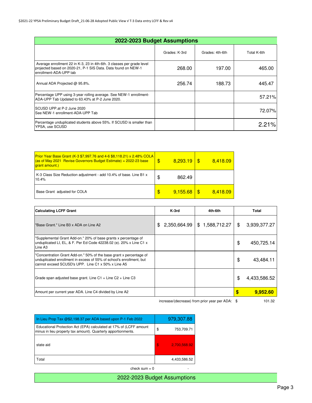| 2022-2023 Budget Assumptions                                                                                                                                      |               |                 |             |  |
|-------------------------------------------------------------------------------------------------------------------------------------------------------------------|---------------|-----------------|-------------|--|
|                                                                                                                                                                   | Grades: K-3rd | Grades: 4th-6th | Total K-6th |  |
| Average enrollment 22 in K-3, 23 in 4th-6th. 3 classes per grade level<br>projected based on 2020-21, P-1 SIS Data. Data found on NEW-1<br>enrollment-ADA-UPP tab | 268.00        | 197.00          | 465.00      |  |
| Annual ADA Projected @ 95.8%.                                                                                                                                     | 256.74        | 188.73          | 445.47      |  |
| Percentage UPP using 3-year rolling average. See NEW-1 enrollment-<br>ADA-UPP Tab Updated to 63.43% at P-2 June 2020.                                             |               |                 | 57.21%      |  |
| SCUSD UPP.at P-2 June 2020<br>See NEW-1 enrollment-ADA-UPP Tab                                                                                                    |               |                 | 72.07%      |  |
| Percentage unduplicated students above 55%. If SCUSD is smaller than<br>YPSA, use SCUSD                                                                           |               |                 | 2.21%       |  |

| <b>Prior Year Base Grant (K-3 \$7,997.76 and 4-6 \$8,118.21) x 2.48% COLA</b><br>$\frac{1}{2}$ (as of May 2021 Revise Governors Budget Estimate) = 2022-23 base<br><b>grant amount.)</b> | \$ | 8.293.19 | - \$ | 8,418.09 |
|------------------------------------------------------------------------------------------------------------------------------------------------------------------------------------------|----|----------|------|----------|
| K-3 Class Size Reduction adjustment - add 10.4% of base. Line B1 x<br>10.4%                                                                                                              | S  | 862.49   |      |          |
| Base Grant adjusted for COLA                                                                                                                                                             | \$ | 9,155.68 |      | 8.418.09 |

| <b>Calculating LCFF Grant</b>                                                                                                                                                                     | K-3rd              | 4th-6th            | Total              |
|---------------------------------------------------------------------------------------------------------------------------------------------------------------------------------------------------|--------------------|--------------------|--------------------|
| "Base Grant." Line B3 x ADA on Line A2                                                                                                                                                            | 2,350,664.99<br>\$ | \$<br>1,588,712.27 | \$<br>3,939,377.27 |
| "Supplemental Grant Add-on." 20% of base grants x percentage of<br>unduplicated LI, EL, & F. Per Ed Code 42238.02 (e). 20% x Line C1 x<br>Line A <sub>3</sub>                                     |                    |                    | \$<br>450,725.14   |
| "Concentration Grant Add-on." 50% of the base grant x percentage of<br>unduplicated enrollment in excess of 55% of school's enrollment, but<br>cannot exceed SCUSD's UPP. Line C1 x 50% x Line A5 |                    |                    | \$<br>43.484.11    |
| Grade span adjusted base grant. Line C1 + Line C2 + Line C3                                                                                                                                       |                    |                    | \$<br>4,433,586.52 |
| Amount per current year ADA. Line C4 divided by Line A2                                                                                                                                           |                    |                    | \$<br>9,952.60     |

increase/(decrease) from prior year per ADA: \$ 101.32

| In Lieu Prop Tax @\$2,198.37 per ADA based upon P-1 Feb 2022                                                                        | 979,307.88         |
|-------------------------------------------------------------------------------------------------------------------------------------|--------------------|
| Educational Protection Act (EPA) calculated at 17% of (LCFF amount<br>minus in lieu property tax amount). Quarterly apportionments. | \$<br>753,709.71   |
| state aid                                                                                                                           | \$<br>2.700.568.92 |
| Total                                                                                                                               | 4,433,586.52       |

check  $sum = 0$  -

2022-2023 Budget Assumptions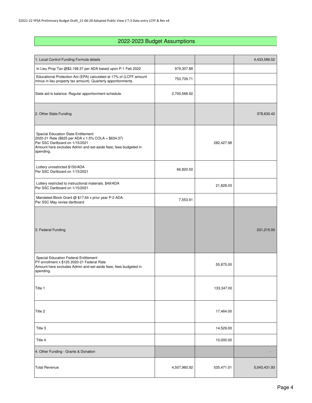### 2022-2023 Budget Assumptions

| 1. Local Control Funding Formula details                                                                                                                                                                            |              |            | 4,433,586.52 |
|---------------------------------------------------------------------------------------------------------------------------------------------------------------------------------------------------------------------|--------------|------------|--------------|
| In Lieu Prop Tax @\$2,198.37 per ADA based upon P-1 Feb 2022                                                                                                                                                        | 979,307.88   |            |              |
| Educational Protection Act (EPA) calculated at 17% of (LCFF amount<br>minus in lieu property tax amount). Quarterly apportionments.                                                                                 | 753,709.71   |            |              |
| State aid is balance. Regular apportionment schedule.                                                                                                                                                               | 2,700,568.92 |            |              |
| 2. Other State Funding                                                                                                                                                                                              |              |            | 378,630.42   |
| <b>Special Education State Entitlement</b><br>2020-21 Rate (\$625 per ADA x 1.5% COLA = \$634.37)<br>Per SSC Dartboard on 1/15/2021<br>Amount here excludes Admin and set-aside fees; fees budgeted in<br>spending. |              | 282,427.98 |              |
| Lottery unrestricted \$150/ADA<br>Per SSC Dartboard on 1/15/2021                                                                                                                                                    | 66,820.50    |            |              |
| Lottery restricted to instructional materials. \$49/ADA<br>Per SSC Dartboard on 1/15/2021                                                                                                                           |              | 21,828.03  |              |
| Mandated Block Grant @ \$17.64 x prior year P-2 ADA.<br>Per SSC May revise dartboard                                                                                                                                | 7,553.91     |            |              |
| 3. Federal Funding                                                                                                                                                                                                  |              |            | 231,215.00   |
| Special Education Federal Entitlement<br>PY enrollment x \$125 2020-21 Federal Rate<br>Amount here excludes Admin and set-aside fees; fees budgeted in<br>spending.                                                 |              | 55,875.00  |              |
| Title 1                                                                                                                                                                                                             |              | 133,347.00 |              |
| Title 2                                                                                                                                                                                                             |              | 17,464.00  |              |
| Title 3                                                                                                                                                                                                             |              | 14,529.00  |              |
| Title 4                                                                                                                                                                                                             |              | 10,000.00  |              |
| 4. Other Funding - Grants & Donation                                                                                                                                                                                |              |            |              |
| <b>Total Revenue</b>                                                                                                                                                                                                | 4,507,960.92 | 535,471.01 | 5,043,431.93 |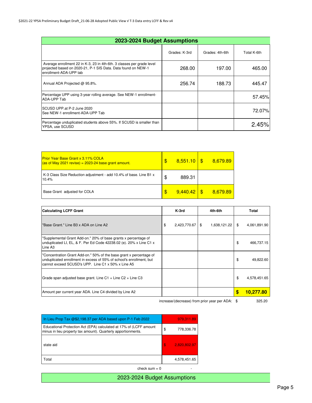| 2023-2024 Budget Assumptions                                                                                                                                      |               |                 |             |  |
|-------------------------------------------------------------------------------------------------------------------------------------------------------------------|---------------|-----------------|-------------|--|
|                                                                                                                                                                   | Grades: K-3rd | Grades: 4th-6th | Total K-6th |  |
| Average enrollment 22 in K-3, 23 in 4th-6th. 3 classes per grade level<br>projected based on 2020-21, P-1 SIS Data. Data found on NEW-1<br>enrollment-ADA-UPP tab | 268.00        | 197.00          | 465.00      |  |
| Annual ADA Projected @ 95.8%.                                                                                                                                     | 256.74        | 188.73          | 445.47      |  |
| Percentage UPP using 3-year rolling average. See NEW-1 enrollment-<br>ADA-UPP Tab                                                                                 |               |                 | 57.45%      |  |
| SCUSD UPP.at P-2 June 2020<br>See NEW-1 enrollment-ADA-UPP Tab                                                                                                    |               |                 | 72.07%      |  |
| Percentage unduplicated students above 55%. If SCUSD is smaller than<br>YPSA, use SCUSD                                                                           |               |                 | 2.45%       |  |

| <b>Prior Year Base Grant x 3.11% COLA</b><br>$\frac{1}{2}$ (as of May 2021 revise) = 2023-24 base grant amount. | \$<br>8,551.10 | 8,679.89 |
|-----------------------------------------------------------------------------------------------------------------|----------------|----------|
| K-3 Class Size Reduction adjustment - add 10.4% of base. Line B1 x<br>10.4%                                     | \$<br>889.31   |          |
| Base Grant adjusted for COLA                                                                                    | \$<br>9,440.42 | 8.679.89 |

| <b>Calculating LCFF Grant</b>                                                                                                                                                                     | K-3rd              |   | 4th-6th      | Total                   |
|---------------------------------------------------------------------------------------------------------------------------------------------------------------------------------------------------|--------------------|---|--------------|-------------------------|
| 'Base Grant." Line B3 x ADA on Line A2                                                                                                                                                            | \$<br>2,423,770.67 | S | 1,638,121.22 | \$<br>4,061,891.90      |
| "Supplemental Grant Add-on." 20% of base grants x percentage of<br>unduplicated LI, EL, & F. Per Ed Code 42238.02 (e). 20% x Line C1 x<br>Line A <sub>3</sub>                                     |                    |   |              | \$<br>466,737.15        |
| "Concentration Grant Add-on." 50% of the base grant x percentage of<br>unduplicated enrollment in excess of 55% of school's enrollment, but<br>cannot exceed SCUSD's UPP. Line C1 x 50% x Line A5 |                    |   |              | \$<br>49,822.60         |
| Grade span adjusted base grant. Line $C1 +$ Line $C2 +$ Line $C3$                                                                                                                                 |                    |   |              | \$<br>4,578,451.65      |
| Amount per current year ADA. Line C4 divided by Line A2                                                                                                                                           |                    |   |              | \$<br><u> 10.277.80</u> |

increase/(decrease) from prior year per ADA: \$

| In Lieu Prop Tax @\$2,198.37 per ADA based upon P-1 Feb 2022                                                                        | 979,311.89         |
|-------------------------------------------------------------------------------------------------------------------------------------|--------------------|
| Educational Protection Act (EPA) calculated at 17% of (LCFF amount<br>minus in lieu property tax amount). Quarterly apportionments. | \$<br>778.336.78   |
| state aid                                                                                                                           | \$<br>2,820,802.97 |
| Total                                                                                                                               | 4,578,451.65       |

 $check sum = 0$  -

2023-2024 Budget Assumptions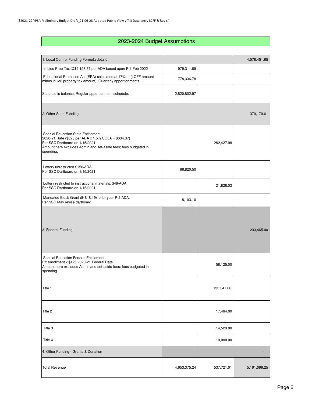### 2023-2024 Budget Assumptions

| 1. Local Control Funding Formula details                                                                                                                                                                            |              |            | 4,578,451.65    |
|---------------------------------------------------------------------------------------------------------------------------------------------------------------------------------------------------------------------|--------------|------------|-----------------|
| In Lieu Prop Tax @\$2,198.37 per ADA based upon P-1 Feb 2022                                                                                                                                                        | 979,311.89   |            |                 |
| Educational Protection Act (EPA) calculated at 17% of (LCFF amount<br>minus in lieu property tax amount). Quarterly apportionments.                                                                                 | 778,336.78   |            |                 |
| State aid is balance. Regular apportionment schedule.                                                                                                                                                               | 2,820,802.97 |            |                 |
| 2. Other State Funding                                                                                                                                                                                              |              |            | 379,179.61      |
| <b>Special Education State Entitlement</b><br>2020-21 Rate (\$625 per ADA x 1.5% COLA = \$634.37)<br>Per SSC Dartboard on 1/15/2021<br>Amount here excludes Admin and set-aside fees; fees budgeted in<br>spending. |              | 282,427.98 |                 |
| Lottery unrestricted \$150/ADA<br>Per SSC Dartboard on 1/15/2021                                                                                                                                                    | 66,820.50    |            |                 |
| Lottery restricted to instructional materials. \$49/ADA<br>Per SSC Dartboard on 1/15/2021                                                                                                                           |              | 21,828.03  |                 |
| Mandated Block Grant @ \$18.19x prior year P-2 ADA.<br>Per SSC May revise dartboard                                                                                                                                 | 8,103.10     |            |                 |
| 3. Federal Funding                                                                                                                                                                                                  |              |            | 233,465.00      |
| Special Education Federal Entitlement<br>PY enrollment x \$125 2020-21 Federal Rate<br>Amount here excludes Admin and set-aside fees; fees budgeted in<br>spending.                                                 |              | 58,125.00  |                 |
| Title 1                                                                                                                                                                                                             |              | 133,347.00 |                 |
| Title 2                                                                                                                                                                                                             |              | 17,464.00  |                 |
| Title 3                                                                                                                                                                                                             |              | 14,529.00  |                 |
| Title 4                                                                                                                                                                                                             |              | 10,000.00  |                 |
| 4. Other Funding - Grants & Donation                                                                                                                                                                                |              |            |                 |
| <b>Total Revenue</b>                                                                                                                                                                                                | 4,653,375.24 | 537,721.01 | 5, 191, 096. 25 |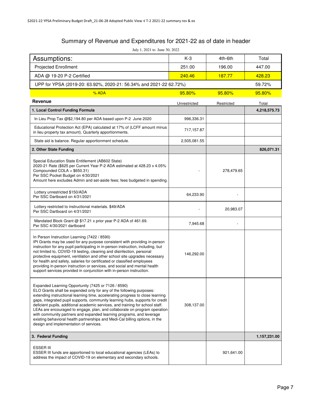### Summary of Revenue and Expenditures for 2021-22 as of date in header

July 1, 2021 to June 30, 2022

| $30.2021$ to $30.2022$<br>Assumptions:                                                                                                                                                                                                                                                                                                                                                                                                                                                                                                                                                                                                                          | $K-3$        | 4th-6th    | Total        |
|-----------------------------------------------------------------------------------------------------------------------------------------------------------------------------------------------------------------------------------------------------------------------------------------------------------------------------------------------------------------------------------------------------------------------------------------------------------------------------------------------------------------------------------------------------------------------------------------------------------------------------------------------------------------|--------------|------------|--------------|
| <b>Projected Enrollment</b>                                                                                                                                                                                                                                                                                                                                                                                                                                                                                                                                                                                                                                     | 251.00       | 196.00     | 447.00       |
| ADA @ 19-20 P-2 Certified                                                                                                                                                                                                                                                                                                                                                                                                                                                                                                                                                                                                                                       | 240.46       | 187.77     | 428.23       |
| UPP for YPSA (2019-20: 63.92%, 2020-21: 56.34% and 2021-22 62.72%)                                                                                                                                                                                                                                                                                                                                                                                                                                                                                                                                                                                              |              |            | 59.72%       |
| % ADA                                                                                                                                                                                                                                                                                                                                                                                                                                                                                                                                                                                                                                                           | 95.80%       | 95.80%     | 95.80%       |
| Revenue                                                                                                                                                                                                                                                                                                                                                                                                                                                                                                                                                                                                                                                         | Unrestricted | Restricted | Total        |
| 1. Local Control Funding Formula                                                                                                                                                                                                                                                                                                                                                                                                                                                                                                                                                                                                                                |              |            | 4,218,575.73 |
| In Lieu Prop Tax @\$2,194.80 per ADA based upon P-2 June 2020                                                                                                                                                                                                                                                                                                                                                                                                                                                                                                                                                                                                   | 996,336.31   |            |              |
| Educational Protection Act (EPA) calculated at 17% of (LCFF amount minus<br>in lieu property tax amount). Quarterly apportionments.                                                                                                                                                                                                                                                                                                                                                                                                                                                                                                                             | 717,157.87   |            |              |
| State aid is balance. Regular apportionment schedule.                                                                                                                                                                                                                                                                                                                                                                                                                                                                                                                                                                                                           | 2,505,081.55 |            |              |
| 2. Other State Funding                                                                                                                                                                                                                                                                                                                                                                                                                                                                                                                                                                                                                                          |              |            | 826,071.31   |
| Special Education State Entitlement (AB602 State)<br>2020-21 Rate (\$625 per Current Year P-2 ADA estimated at 428.23 x 4.05%<br>Compounded COLA = $$650.31$ )<br>Per SSC Pocket Budget on 4/30/2021<br>Amount here excludes Admin and set-aside fees; fees budgeted in spending.                                                                                                                                                                                                                                                                                                                                                                               |              | 278,479.65 |              |
| Lottery unrestricted \$150/ADA<br>Per SSC Dartboard on 4/31/2021                                                                                                                                                                                                                                                                                                                                                                                                                                                                                                                                                                                                | 64,233.90    |            |              |
| Lottery restricted to instructional materials. \$49/ADA<br>Per SSC Dartboard on 4/31/2021                                                                                                                                                                                                                                                                                                                                                                                                                                                                                                                                                                       |              | 20,983.07  |              |
| Mandated Block Grant @ \$17.21 x prior year P-2 ADA of 461.69.<br>Per SSC 4/30/2021 dartboard                                                                                                                                                                                                                                                                                                                                                                                                                                                                                                                                                                   | 7,945.68     |            |              |
| In Person Instruction Learning (7422 / 8590)<br>IPI Grants may be used for any purpose consistent with providing in-person<br>instruction for any pupil participating in in-person instruction, including, but<br>not limited to, COVID-19 testing, cleaning and disinfection, personal<br>protective equipment, ventilation and other school site upgrades necessary<br>for health and safety, salaries for certificated or classified employees<br>providing in-person instruction or services, and social and mental health<br>support services provided in conjunction with in-person instruction.                                                          | 146,292.00   |            |              |
| Expanded Learning Opportunity (7425 or 7126 / 8590)<br>ELO Grants shall be expended only for any of the following purposes:<br>extending instructional learning time, accelerating progress to close learning<br>gaps, integrated pupil supports, community learning hubs, supports for credit<br>deficient pupils, additional academic services, and training for school staff.<br>LEAs are encouraged to engage, plan, and collaborate on program operation<br>with community partners and expanded learning programs, and leverage<br>existing behavioral health partnerships and Medi-Cal billing options, in the<br>design and implementation of services. | 308,137.00   |            |              |
| 3. Federal Funding                                                                                                                                                                                                                                                                                                                                                                                                                                                                                                                                                                                                                                              |              |            | 1,157,231.00 |
| ESSER III<br>ESSER III funds are apportioned to local educational agencies (LEAs) to<br>address the impact of COVID-19 on elementary and secondary schools.                                                                                                                                                                                                                                                                                                                                                                                                                                                                                                     |              | 921,641.00 |              |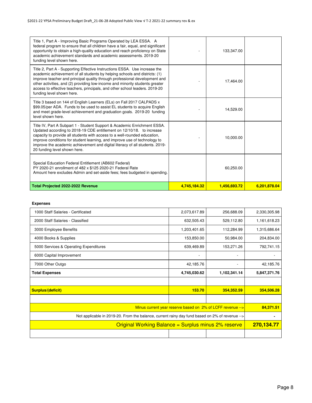| Title 1, Part A - Improving Basic Programs Operated by LEA ESSA. A<br>federal program to ensure that all children have a fair, equal, and significant<br>opportunity to obtain a high-quality education and reach proficiency on State<br>academic achievement standards and academic assessments, 2019-20<br>funding level shown here.                                                                                            |              | 133,347.00   |              |
|------------------------------------------------------------------------------------------------------------------------------------------------------------------------------------------------------------------------------------------------------------------------------------------------------------------------------------------------------------------------------------------------------------------------------------|--------------|--------------|--------------|
| Title 2, Part A - Supporting Effective Instructions ESSA. Use increase the<br>academic achievement of all students by helping schools and districts: (1)<br>improve teacher and principal quality through professional development and<br>other activities, and (2) providing low-income and minority students greater<br>access to effective teachers, principals, and other school leaders. 2019-20<br>funding level shown here. |              | 17,464.00    |              |
| Title 3 based on 144 of English Learners (ELs) on Fall 2017 CALPADS x<br>\$99.05/per ADA. Funds to be used to assist EL students to acquire English<br>and meet grade-level achievement and graduation goals. 2019-20 funding<br>level shown here.                                                                                                                                                                                 |              | 14,529.00    |              |
| Title IV, Part A Subpart 1 - Student Support & Academic Enrichment ESSA.<br>Updated according to 2018-19 CDE entitlement on 12/10/18. to increase<br>capacity to provide all students with access to a well-rounded education,<br>improve conditions for student learning, and improve use of technology to<br>improve the academic achievement and digital literacy of all students. 2019-<br>20 funding level shown here.        |              | 10,000.00    |              |
| Special Education Federal Entitlement (AB602 Federal)<br>PY 2020-21 enrollment of 482 x \$125 2020-21 Federal Rate<br>Amount here excludes Admin and set-aside fees; fees budgeted in spending.                                                                                                                                                                                                                                    |              | 60,250.00    |              |
| Total Projected 2022-2022 Revenue                                                                                                                                                                                                                                                                                                                                                                                                  | 4,745,184.32 | 1,456,693.72 | 6,201,878.04 |

#### **Expenses**

| 2,073,617.89             | 256,688.09               | 2,330,305.98                                                                                                                                                                                                           |
|--------------------------|--------------------------|------------------------------------------------------------------------------------------------------------------------------------------------------------------------------------------------------------------------|
| 632,505.43               | 529,112.80               | 1,161,618.23                                                                                                                                                                                                           |
| 1,203,401.65             | 112,284.99               | 1,315,686.64                                                                                                                                                                                                           |
| 153,850.00               | 50,984.00                | 204,834.00                                                                                                                                                                                                             |
| 639,469.89               | 153,271.26               | 792,741.15                                                                                                                                                                                                             |
| $\overline{\phantom{a}}$ | $\overline{\phantom{a}}$ |                                                                                                                                                                                                                        |
| 42,185.76                | $\blacksquare$           | 42,185.76                                                                                                                                                                                                              |
| 4,745,030.62             | 1,102,341.14             | 5,847,371.76                                                                                                                                                                                                           |
|                          |                          |                                                                                                                                                                                                                        |
| 153.70                   | 354,352.59               | 354,506.28                                                                                                                                                                                                             |
|                          |                          |                                                                                                                                                                                                                        |
|                          |                          | 84,371.51                                                                                                                                                                                                              |
|                          |                          | ۰                                                                                                                                                                                                                      |
|                          |                          | 270,134.77                                                                                                                                                                                                             |
|                          |                          |                                                                                                                                                                                                                        |
|                          |                          | Minus current year reserve based on $2\%$ of LCFF revenue $-$<br>Not applicable in 2019-20. From the balance, current rainy day fund based on 2% of revenue --><br>Original Working Balance = Surplus minus 2% reserve |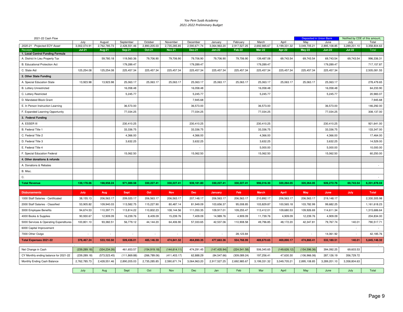#### *Yav Pem Suab Academy2021-2022 Preliminary Budget*

| 2021-22 Cash Flow                      |                      |                        |                           |                         |                          |                          |                         |                          |                       |                       |                     | <b>Deposited in Union Bank</b> | Notified by CDE of this amount, |                       |
|----------------------------------------|----------------------|------------------------|---------------------------|-------------------------|--------------------------|--------------------------|-------------------------|--------------------------|-----------------------|-----------------------|---------------------|--------------------------------|---------------------------------|-----------------------|
| 2020-21 Projected EOY Asset            | July<br>3,002,074.91 | August<br>2,762,785.73 | September<br>2,428,551.46 | October<br>2,890,205.03 | November<br>2,735,285.85 | December<br>2,590,671.74 | January<br>3,064,963.20 | February<br>2,917,527.25 | March<br>2,692,985.67 | April<br>3,199,331.32 | May<br>3,049,705.21 | June<br>2,895,108.85           | July<br>3,289,201.10            | Total<br>3,358,804.63 |
| Receipts                               | <b>Jul-21</b>        | Aug-21                 | <b>Sep-21</b>             | <b>Oct-21</b>           | <b>Nov-21</b>            | <b>Dec-21</b>            | $Jan-22$                | Feb-22                   | <b>Mar-22</b>         | Apr-22                | <b>May-22</b>       | <b>Jun-22</b>                  | <b>Jul-22</b>                   | Total                 |
| 1. Local Control Funding Formula       |                      |                        |                           |                         |                          |                          |                         |                          |                       |                       |                     |                                |                                 |                       |
| A. District In Lieu Property Tax       |                      | 59,780.18              | 119,560.36                | 79,706.90               | 79,706.90                | 79,706.90                | 79,706.90               | 79,706.90                | 139,487.08            | 69,743.54             | 69,743.54           | 69,743.54                      | 69,743.54                       | 996,336.31            |
| <b>B.</b> Educational Protection Act   |                      |                        | 179,289.47                |                         |                          | 179,289.47               |                         |                          | 179,289.47            |                       |                     | 179,289.47                     |                                 | 717,157.87            |
| C. State Aid                           | 125,254.08           | 125,254.08             | 225,457.34                | 225,457.34              | 225,457.34               | 225,457.34               | 225,457.34              | 225,457.34               | 225,457.34            | 225,457.34            | 225,457.34          | 225,457.34                     |                                 | 2,505,081.55          |
| 2. Other State Funding                 |                      |                        |                           |                         |                          |                          |                         |                          |                       |                       |                     |                                |                                 |                       |
| A. Special Education State             | 13,923.98            | 13,923.98              | 25,063.17                 | 25,063.17               | 25,063.17                | 25,063.17                | 25,063.17               | 25,063.17                | 25,063.17             | 25,063.17             | 25,063.17           | 25,063.17                      |                                 | 278,479.65            |
| <b>B. Lottery Unrestricted</b>         |                      |                        | 16,058.48                 |                         |                          | 16,058.48                |                         |                          | 16,058.48             |                       |                     | 16,058.48                      |                                 | 64,233.90             |
| C. Lottery Restricted                  |                      |                        | 5,245.77                  |                         |                          | 5,245.77                 |                         |                          | 5,245.77              |                       |                     | 5,245.77                       |                                 | 20,983.07             |
| D. Mandated Block Grant                |                      |                        |                           |                         |                          | 7,945.68                 |                         |                          |                       |                       |                     |                                |                                 | 7,945.68              |
| E. In Person Instruction Learning      |                      |                        | 36,573.00                 |                         |                          | 36,573.00                |                         |                          | 36,573.00             |                       |                     | 36,573.00                      |                                 | 146,292.00            |
| F. Expanded Leanring Opportunity       |                      |                        | 77,034.25                 |                         |                          | 77,034.25                |                         |                          | 77,034.25             |                       |                     | 77,034.25                      |                                 | 308,137.00            |
| 3. Federal Funding                     |                      |                        |                           |                         |                          |                          |                         |                          |                       |                       |                     |                                |                                 |                       |
| A. ESSER III                           |                      |                        | 230,410.25                |                         |                          | 230,410.25               |                         |                          | 230,410.25            |                       |                     | 230,410.25                     |                                 | 921,641.00            |
| B. Federal Title 1                     |                      |                        | 33,336.75                 |                         |                          | 33,336.75                |                         |                          | 33,336.75             |                       |                     | 33,336.75                      |                                 | 133,347.00            |
| C. Federal Title 2                     |                      |                        | 4,366.00                  |                         |                          | 4,366.00                 |                         |                          | 4,366.00              |                       |                     | 4,366.00                       |                                 | 17,464.00             |
| D. Federal Title 3                     |                      |                        | 3,632.25                  |                         |                          | 3,632.25                 |                         |                          | 3,632.25              |                       |                     | 3,632.25                       |                                 | 14,529.00             |
| E. Federal Title 4                     |                      |                        |                           |                         |                          |                          |                         |                          | 5,000.00              |                       |                     | 5,000.00                       |                                 | 10,000.00             |
| F. Special Education Federal           |                      |                        | 15,062.50                 |                         |                          | 15,062.50                |                         |                          | 15,062.50             |                       |                     | 15,062.50                      |                                 | 60,250.00             |
| 4. Other donations & refunds           |                      |                        |                           |                         |                          |                          |                         |                          |                       |                       |                     |                                |                                 |                       |
| A. Donations & Rebates                 |                      |                        |                           |                         |                          |                          |                         |                          |                       |                       |                     |                                |                                 |                       |
| B. Misc.                               |                      |                        |                           |                         |                          |                          |                         |                          |                       |                       |                     |                                |                                 |                       |
| C.                                     |                      |                        |                           |                         |                          |                          |                         |                          |                       |                       |                     |                                |                                 |                       |
| <b>Total Revenue</b>                   | 139,178.06           | 198,958.24             | 971,089.58                | 330,227.41              | 330,227.41               | 939,181.80               | 330,227.41              | 330,227.41               | 996,016.30            | 320,264.05            | 320,264.05          | 926,272.76                     | 69,743.54                       | 6,201,878.04          |
|                                        |                      |                        |                           |                         |                          |                          |                         |                          |                       |                       |                     |                                |                                 |                       |
| <b>Disbursements</b>                   | July                 | Aug                    | <b>Sept</b>               | Oct                     | <b>Nov</b>               | Dec                      | January                 | Feb                      | <b>March</b>          | <b>April</b>          | <b>May</b>          | June                           | July                            | <b>Total</b>          |
| 1000 Staff Salaries - Certificated     | 38,155.13            | 206,563.17             | 209,020.17                | 206,563.17              | 206,563.17               | 207,148.17               | 206,563.17              | 206,563.17               | 210,892.17            | 206,563.17            | 206,563.17          | 219,148.17                     |                                 | 2,330,305.98          |
| 2000 Staff Salaries - Classified       | 53,905.82            | 109,940.03             | 113,582.75                | 115,227.90              | 80,487.14                | 81,949.09                | 103,656.37              | 95,008.85                | 103,829.87            | 100,565.18            | 103,782.99          | 99,682.25                      |                                 | 1,161,618.23          |
| 3000 Employee Benefits                 | 94,674.53            | 110,397.71             | 113,814.22                | 110,802.23              | 108,144.56               | 111,050.35               | 109,917.01              | 109,255.47               | 113,412.01            | 109,680.53            | 109,926.69          | 114,611.34                     |                                 | 1,315,686.64          |
| 4000 Books & Supplies                  | 90,930.67            | 12,909.09              | 16,239.76                 | 8,409.09                | 15,239.76                | 7,409.09                 | 14,989.76               | 4,909.09                 | 11,739.76             | 4,909.09              | 12,239.76           | 4,909.09                       |                                 | 204,834.00            |
| 5000 Services & Operating Expenditures | 100,801.10           | 93,382.51              | 56,779.12                 | 44,144.20               | 64,406.90                | 57,333.65                | 42,537.06               | 110,908.58               | 49,796.85             | 48,172.20             | 42,347.81           | 79,767.74                      | 140.01                          | 790,517.71            |
| 6000 Capital Improvement               |                      |                        |                           |                         |                          |                          |                         |                          |                       |                       |                     |                                | $\sim$                          |                       |
| 7000 Other Outgo                       | $\epsilon$           | ٠                      | $\sim$                    | $\sim$                  | $\overline{\phantom{a}}$ | $\sim$                   |                         | 28,123.84                | $\sim$                | $\sim$                | ٠                   | 14,061.92                      | $\sim$                          | 42,185.76             |
| <b>Total Expenses 2021-22</b>          | 378,467.24           | 533,192.50             | 509,436.01                | 485,146.59              | 474,841.52               | 464,890.35               | 477,663.36              | 554,768.99               | 489,670.65            | 469,890.17            | 474,860.41          | 532,180.51                     | 140.01                          | 5,845,148.32          |
|                                        |                      |                        |                           |                         |                          |                          |                         |                          |                       |                       |                     |                                |                                 |                       |
| Net Change in Cash                     | (239, 289.18)        | (334, 234.26)          | 461,653.57                | (154, 919.18)           | (144, 614.11)            | 474,291.45               | (147, 435.94)           | (224, 541.58)            | 506,345.65            | (149, 626.12)         | (154, 596.36)       | 394,092.25                     | 69,603.53                       |                       |
| CY Monthly ending balance for 2021-22  | (239, 289.18)        | (573, 523.45)          | (111, 869.88)             | (266, 789.06)           | (411, 403.17)            | 62,888.29                | (84, 547.66)            | (309, 089.24)            | 197,256.41            | 47,630.30             | (106, 966.06)       | 287,126.19                     | 356,729.72                      |                       |
| Monthly Ending Cash Balance            | 2,762,785.73         | 2,428,551.46           | 2,890,205.03              | 2,735,285.85            | 2,590,671.74             | 3,064,963.20             | 2,917,527.25            | 2,692,985.67             | 3,199,331.32          | 3,049,705.21          | 2,895,108.85        | 3,289,201.10                   | 3,358,804.63                    |                       |
|                                        | July                 | Aug                    | Sept                      | Oct                     | <b>Nov</b>               | <b>Dec</b>               | Jan                     | Feb                      | Mar                   | April                 | May                 | June                           | July                            | Total                 |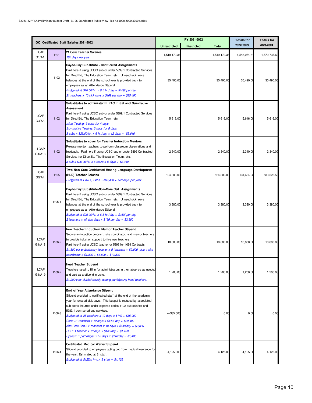|                       |        | 1000 Certificated Staff Salaries 2021-2022                                                                                                                                                                                                                                                                                                                                                                                                                                                                                                                                     |                     | FY 2021-2022 | <b>Totals for</b> | <b>Totals for</b> |              |
|-----------------------|--------|--------------------------------------------------------------------------------------------------------------------------------------------------------------------------------------------------------------------------------------------------------------------------------------------------------------------------------------------------------------------------------------------------------------------------------------------------------------------------------------------------------------------------------------------------------------------------------|---------------------|--------------|-------------------|-------------------|--------------|
|                       |        |                                                                                                                                                                                                                                                                                                                                                                                                                                                                                                                                                                                | <b>Unrestricted</b> | Restricted   | <b>Total</b>      | 2022-2023         | 2023-2024    |
| <b>LCAP</b><br>G1/A1  | 1101   | 21 Core Teacher Salaries<br>180 days per year                                                                                                                                                                                                                                                                                                                                                                                                                                                                                                                                  | 1,519,172.36        |              | 1,519,172.36      | 1,548,054.61      | 1,579,737.60 |
|                       | 1102   | Day-to-Day Substitute - Certificated Assignments<br>Paid here if using UCSC sub or under 5899.1 Contracted Services<br>for DirectEd, The Education Team, etc. Unused sick leave<br>balances at the end of the school year is provided back to<br>employees as an Attendance Stipend.<br>Budgeted at \$26.00/hr. x 6.5 hr./day = \$169/ per day<br>21 teachers x 10 sick days x $$169$ per day = \$35,490                                                                                                                                                                       | 35,490.00           |              | 35,490.00         | 35,490.00         | 35,490.00    |
| <b>LCAP</b><br>G4/A5  | 1102   | Substitutes to administer ELPAC Initial and Summative<br><b>Assessment</b><br>Paid here if using UCSC sub or under 5899.1 Contracted Services<br>for DirectEd, The Education Team, etc.<br>Initial Testing: 3 subs for 4 days<br>Summative Testing: 3 subs for 8 days<br>3 subs x \$26.00/hr. x 6 hr./day x 12 days = \$5,616                                                                                                                                                                                                                                                  | 5,616.00            |              | 5,616.00          | 5,616.00          | 5,616.00     |
| <b>LCAP</b><br>G1/A18 | 1102   | Substitutes to cover for Teacher Induction Mentors<br>Release mentor teachers to perform classroom observations and<br>feedback. Paid here if using UCSC sub or under 5899 Contracted<br>Services for DirectEd, The Education Team, etc.<br>$3$ sub x \$26.00/hr. x 6 hours x 5 days = \$2,340                                                                                                                                                                                                                                                                                 | 2.340.00            |              | 2,340.00          | 2,340.00          | 2,340.00     |
| <b>LCAP</b><br>G5/A4  | 1105   | Two Non-Core Certificated Hmong Language Development<br>(HLD) Teacher Salaries<br>Budgeted at Row 1, Col A - \$62,400 + 180 days per year                                                                                                                                                                                                                                                                                                                                                                                                                                      | 124,800.00          |              | 124,800.00        | 131,634.22        | 133,528.56   |
|                       | 1105-1 | Day-to-Day Substitute-Non-Core Cert. Assignments<br>Paid here if using UCSC sub or under 5899.1 Contracted Services<br>for DirectEd, The Education Team, etc. Unused sick leave<br>balances at the end of the school year is provided back to<br>employees as an Attendance Stipend.<br>Budgeted at \$26.00/hr. x 6.5 hr./day = \$169/ per day<br>2 teachers x 10 sick days x $$169$ per day = \$3,380                                                                                                                                                                         | 3,380.00            |              | 3,380.00          | 3,380.00          | 3,380.00     |
| <b>LCAP</b><br>G1/A18 | 1106-2 | New Teacher Induction Mentor Teacher Stipend<br>Secure an induction program, site coordinator, and mentor teachers<br>to provide induction support to five new teachers.<br>Paid here if using UCSC teacher or 5899 for 1099 Contracts.<br>$$1,800$ per probationary teacher x 5 teachers = $$9,000$ plus 1 site<br>coordinator $x$ \$1,800 = \$1,800 = \$10,800                                                                                                                                                                                                               | 10,800.00           |              | 10,800.00         | 10,800.00         | 10,800.00    |
| <b>LCAP</b><br>G1/A19 | 1106-2 | <b>Head Teacher Stipend</b><br>Teachers used to fill in for administrators in their absence as needed<br>and paid as a stipend in June.<br>\$1,200/year divided equally among participating head teachers.                                                                                                                                                                                                                                                                                                                                                                     | 1.200.00            |              | 1,200.00          | 1,200.00          | 1,200.00     |
|                       | 1106-3 | End of Year Attendance Stipend<br>Stipend provided to certificated staff at the end of the academic<br>year for unused sick days. This budget is reduced by associated<br>sub costs incurred under expense codes 1102 sub salaries and<br>5989.1 contracted sub services.<br>Budgeted at 25 teachers $x$ 10 days $x$ \$140 = \$35,000<br>Core: 21 teachers x 10 days x $$140/$ day = \$29,400<br>Non-Core Cert.: 2 teachers x 10 days x $$140$ /day = \$2,800<br>RSP: 1 teacher x 10 days x $$140$ /day = $$1,400$<br>Speech: 1 pathologist x 10 days x $$140$ /day = $$1,400$ | $x = $35,000$       |              | 0.00              | 0.00              | 0.00         |
|                       | 1106-4 | Certificated Medical Waiver Stipend<br>Stipend provided to employees opting out from medical insurance for<br>the year. Estimated at 3 staff.<br>Budgeted at $$125x11mo.x 3 statf = $4,125$                                                                                                                                                                                                                                                                                                                                                                                    | 4,125.00            |              | 4,125.00          | 4,125.00          | 4,125.00     |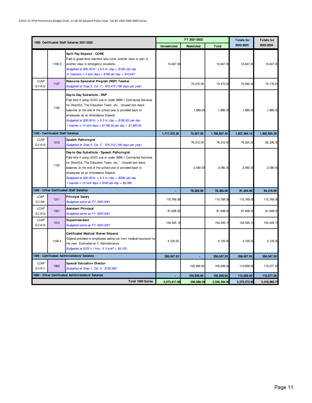|                       |                                    | 1000 Certificated Staff Salaries 2021-2022                                                                                                                                                                                                                                                                                                                                                       |                     | FY 2021-2022 | <b>Totals for</b> | <b>Totals for</b> |              |
|-----------------------|------------------------------------|--------------------------------------------------------------------------------------------------------------------------------------------------------------------------------------------------------------------------------------------------------------------------------------------------------------------------------------------------------------------------------------------------|---------------------|--------------|-------------------|-------------------|--------------|
|                       |                                    |                                                                                                                                                                                                                                                                                                                                                                                                  | <b>Unrestricted</b> | Restricted   | <b>Total</b>      | 2022-2023         | 2023-2024    |
|                       | 1106-5                             | Split Pay Stipend - CORE<br>Paid to grade level teachers who cover another class or part of<br>another class in emergency situations.<br>Budgeted at \$26.00/hr. $x$ 6.5 hr./day = \$169/ per day<br>21 teachers x 3 sick days x $$169$ per day = $$10,647$                                                                                                                                      | 10,647.00           |              | 10,647.00         | 10,647.00         | 10,647.00    |
| <b>LCAP</b><br>G1/A12 | 1107                               | Resource Specialist Program (RSP) Teacher<br>Budgeted at Step 5, Col. C - \$70,472 (180 days per year)                                                                                                                                                                                                                                                                                           |                     | 70,472.09    | 70,472.09         | 72, 292.30        | 74.176.04    |
|                       | 1102                               | Day-to-Day Substitute - RSP<br>Paid here if using UCSC sub or under 5899.1 Contracted Services<br>for DirectEd, The Education Team, etc. Unused sick leave<br>balances at the end of the school year is provided back to<br>employees as an Attendance Stipend.<br>Budgeted at \$29.00/hr. x 6.5 hr./day = \$188.50/ per day<br>1 teacher x 10 sick days x $$1188.50$ per day = $$1,885.00$      |                     | 1,885.00     | 1,885.00          | 1,885.00          | 1,885.00     |
|                       | 1100 - Certificated Staff Salaries |                                                                                                                                                                                                                                                                                                                                                                                                  | 1,717,570.36        | 72,357.09    | 1,789,927.45      | 1,827,464.13      | 1,862,925.20 |
| <b>LCAP</b><br>G1/A13 | 1210                               | Speech Pathologist<br>Budgeted at Step 5, Col. C - \$76,312 (180 days per year)                                                                                                                                                                                                                                                                                                                  |                     | 76,312.00    | 76,312.00         | 79,324.00         | 82,336.00    |
|                       | 1102                               | Day-to-Day Substitute - Speech Pathologist<br>Paid here if using UCSC sub or under 5899.1 Contracted Services<br>for DirectEd, The Education Team, etc.  Unused sick leave<br>balances at the end of the school year is provided back to<br>employees as an Attendance Stipend.<br>Budgeted at \$32.00/hr. x 6.5 hr./day = \$208/ per day<br>1 teacher x 10 sick days x $$169$ per day = \$2,080 |                     | 2,080.00     | 2,080.00          | 2,080.00          | 2,080.00     |
|                       |                                    | 1200 - Other Certificated Staff Salaries                                                                                                                                                                                                                                                                                                                                                         | ×,                  | 78,392.00    | 78,392.00         | 81,404.00         | 84,416.00    |
| <b>LCAP</b><br>G1/Ag  | 1311                               | <b>Principal Salary</b><br>Budgeted same as FY 2020-2021                                                                                                                                                                                                                                                                                                                                         | 115,769.38          |              | 115,769.38        | 115,769.38        | 115,769.38   |
| <b>LCAP</b><br>G1/A10 | 1321                               | Assistant Principal<br>Budgeted same as FY 2020-2021                                                                                                                                                                                                                                                                                                                                             | 81,608.00           |              | 81,608.00         | 81,608.00         | 81,608.00    |
| <b>LCAP</b><br>G1/A15 | 1312                               | Superintendent<br>Budgeted same as FY 2020-2021                                                                                                                                                                                                                                                                                                                                                  | 154,545.15          |              | 154, 545.15       | 154,545.15        | 154,545.15   |
|                       | 1106-4                             | Certificated Medical Waiver Stipend<br>Stipend provided to employees opting out from medical insurance for<br>the year. Estimated at 3 Administrators.<br>Budgeted at \$125 x 11mo. X 3 staff = \$4,125                                                                                                                                                                                          | 4,125.00            |              | 4,125.00          | 4,125.00          | 4,125.00     |
|                       |                                    | 1300 - Certificated Administrators' Salaries                                                                                                                                                                                                                                                                                                                                                     | 356,047.53          |              | 356,047.53        | 356,047.53        | 356,047.53   |
| <b>LCAP</b><br>G1/A11 | 1900                               | <b>Special Education Director</b><br>Budgeted at Step 1, Col. 4 - \$105,939                                                                                                                                                                                                                                                                                                                      |                     | 105,939.00   | 105,939.00        | 110,658.00        | 115,577.00   |
|                       |                                    | 1900 - Other Certificated Administrators' Salaries                                                                                                                                                                                                                                                                                                                                               |                     | 105,939.00   | 105,939.00        | 110,658.00        | 115,577.00   |
|                       |                                    | Total 1000 Series                                                                                                                                                                                                                                                                                                                                                                                | 2,073,617.89        | 256,688.09   | 2,330,305.98      | 2,375,573.66      | 2,418,965.73 |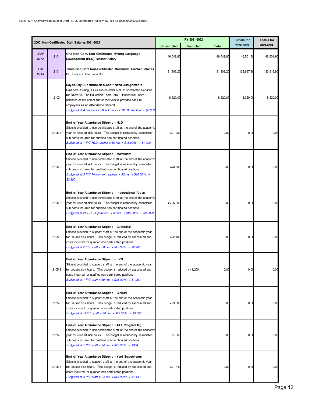|                      |        |                                                                                                                                                                                                                                                                                                                                                               |                     | FY 2021-2022 | <b>Totals for</b> | <b>Totals for</b> |            |
|----------------------|--------|---------------------------------------------------------------------------------------------------------------------------------------------------------------------------------------------------------------------------------------------------------------------------------------------------------------------------------------------------------------|---------------------|--------------|-------------------|-------------------|------------|
|                      |        | 2000 Non-Certificated Staff Salaries 2021-2022                                                                                                                                                                                                                                                                                                                | <b>Unrestricted</b> | Restricted   | <b>Total</b>      | 2022-2023         | 2023-2024  |
| <b>LCAP</b><br>G5/A4 | 2101   | One Non-Core, Non-Certificated Hmong Language<br>Development (HLD) Teacher Salary                                                                                                                                                                                                                                                                             | 46,042.80           |              | 46,042.80         | 46,501.60         | 46,501.60  |
| <b>LCAP</b><br>G5/A4 | 2101   | Three Non-Core Non-Certificated Movement Teacher Salaries<br>PE, Dance & Tae Kwon Do                                                                                                                                                                                                                                                                          | 131,803.20          |              | 131,803.20        | 132,667.20        | 133,516.80 |
|                      | 2103   | Day-to-Day Substitute-Non-Certificated Assignments<br>Paid here if using UCSC sub or under 5899.2 Contracted Services<br>for DirectEd, The Education Team, etc. Unused sick leave<br>balances at the end of the school year is provided back to<br>employees as an Attendance Stipend.<br>Budgeted at 4 teachers x 80 sick hours x \$26.00 per hour = \$8,320 | 8,320.00            |              | 8,320.00          | 8,320.00          | 8,320.00   |
|                      | 2105-3 | End of Year Attendance Stipend - HLD<br>Stipend provided to non-certificated staff at the end of the academic<br>year for unused sick hours. This budget is reduced by associated<br>sub costs incurred for qualified non-certificated positions.<br>Budgeted at 1 F/T HLD teacher x 80 hrs. x $$15.00/hr. = $1,200$                                          | $x = 1,200$         |              | 0.00              | 0.00              | 0.00       |
|                      | 2105-3 | End of Year Attendance Stipend - Movement<br>Stipend provided to non-certificated staff at the end of the academic<br>year for unused sick hours. This budget is reduced by associated<br>sub costs incurred for qualified non-certificated positions.<br>Budgeted at $3 F/T$ Movement teachers x 80 hrs. x \$15.00/hr. =<br>\$3,600                          | $x = 3,600$         |              | 0.00              | 0.00              | 0.00       |
|                      | 2105-3 | End of Year Attendance Stipend - Instructional Aides<br>Stipend provided to non-certificated staff at the end of the academic<br>year for unused sick hours. This budget is reduced by associated<br>sub costs incurred for qualified non-certificated positions.<br>Budgeted at 21 F/T IA positions $x$ 80 hrs. $x$ \$15.00/hr. = \$25,200                   | $x = 25,200$        |              | 0.00              | 0.00              | 0.00       |
|                      | 2105-3 | End of Year Attendance Stipend - Custodial<br>Stipend provided to support staff at the end of the academic year<br>for unused sick hours. This budget is reduced by associated sub<br>costs incurred for qualified non-certificated positions.<br>Budgeted at $2 F/T$ staff x 80 hrs. x \$15.00/hr. = \$2,400                                                 | $x = 2,400$         |              | 0.00              | 0.00              | 0.00       |
|                      | 2105-3 | End of Year Attendance Stipend - LVN<br>Stipend provided to support staff at the end of the academic year<br>for unused sick hours. This budget is reduced by associated sub<br>costs incurred for qualified non-certificated positions.<br>Budgeted at 1 F/T staff x 80 hrs. x \$15.00/hr. = \$1,200                                                         |                     | $x = 1,200$  | 0.00              | 0.00              | 0.00       |
|                      | 2105-3 | End of Year Attendance Stipend - Clerical<br>Stipend provided to support staff at the end of the academic year<br>for unused sick hours. This budget is reduced by associated sub<br>costs incurred for qualified non-certificated positions.<br>Budgeted at $3 F/T$ staff x 80 hrs. x \$15.00/hr. = \$3,600                                                  | $x = 3,600$         |              | 0.00              | 0.00              | 0.00       |
|                      | 2105-3 | End of Year Attendance Stipend - ATT Program Mgr.<br>Stipend provided to non-certificated staff at the end of the academic<br>year for unused sick hours. This budget is reduced by associated<br>sub costs incurred for qualified non-certificated positions.<br>Budgeted at 1 P/T staff x 24 hrs. x \$15.00/hr. = \$360                                     | $x = 360$           |              | 0.00              | 0.00              | 0.00       |
|                      | 2105-3 | End of Year Attendance Stipend - Yard Supervisors<br>Stipend provided to support staff at the end of the academic year<br>for unused sick hours. This budget is reduced by associated sub<br>costs incurred for qualified non-certificated positions.<br>Budgeted at 4 P/T staff x 24 hrs. x \$15.00/hr. = \$1,440                                            | $x = 1,440$         |              | 0.00              | 0.00              | 0.00       |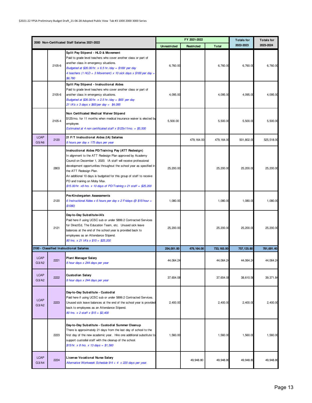|                      |        |                                                                                                                                                                                                                                                                                                                                                                                                                                                                    |                     | FY 2021-2022 |              | <b>Totals for</b> | <b>Totals for</b> |
|----------------------|--------|--------------------------------------------------------------------------------------------------------------------------------------------------------------------------------------------------------------------------------------------------------------------------------------------------------------------------------------------------------------------------------------------------------------------------------------------------------------------|---------------------|--------------|--------------|-------------------|-------------------|
|                      |        | 2000 Non-Certificated Staff Salaries 2021-2022                                                                                                                                                                                                                                                                                                                                                                                                                     | <b>Unrestricted</b> | Restricted   | <b>Total</b> | 2022-2023         | 2023-2024         |
|                      | 2105-6 | Split Pay Stipend - HLD & Movement<br>Paid to grade level teachers who cover another class or part of<br>another class in emergency situations.<br>Budgeted at \$26.00/hr. $x$ 6.5 hr./day = \$169/ per day<br>4 teachers (1 HLD + 3 Movement) x 10 sick days x \$169 per day =<br>\$6,760                                                                                                                                                                         | 6,760.00            |              | 6,760.00     | 6,760.00          | 6,760.00          |
|                      | 2105-6 | Split Pay Stipend - Instructional Aides<br>Paid to grade level teachers who cover another class or part of<br>another class in emergency situations.<br>Budgeted at \$26.00/hr. $x$ 2.5 hr./day = \$65/ per day<br>21 IA's x 3 days x $$65/per$ day = $$4,095$                                                                                                                                                                                                     | 4,095.00            |              | 4,095.00     | 4,095.00          | 4,095.00          |
|                      | 2105-4 | Non Certificated Medical Waiver Stipend<br>\$125/mo. for 11 months when medical insurance waiver is elected by<br>employee.<br>Estimated at 4 non certificated staff x \$125x11mo. = \$5,500                                                                                                                                                                                                                                                                       | 5,500.00            |              | 5,500.00     | 5,500.00          | 5,500.00          |
| <b>LCAP</b><br>G5/A6 | 2120   | 21 F/T Instructional Aides (IA) Salaries<br>8 hours per day x 175 days per year                                                                                                                                                                                                                                                                                                                                                                                    |                     | 479,164.00   | 479, 164.00  | 501,802.00        | 525,518.00        |
|                      | 2803   | Instructional Aides PD/Training Pay (ATT Redesign)<br>In alignment to the ATT Redesign Plan approved by Academy<br>Council on December 1, 2020. IA staff will receive professional<br>development opportunities throughout the school year as specified in<br>the ATT Redesign Plan.<br>An additional 10 days is budgeted for this group of staff to receive<br>PD and training on Moby Max.<br>$$15.00/hr. x8 hrs. x 10 days of PD/Training x 21 staff = $25,200$ | 25,200.00           |              | 25,200.00    | 25,200.00         | 25,200.00         |
|                      | 2120   | Pre-Kindergarten Assessments<br>6 Instructional Aides $x$ 6 hours per day $x$ 2 Fridays @ \$15/hour =<br>\$1080)                                                                                                                                                                                                                                                                                                                                                   | 1,080.00            |              | 1,080.00     | 1,080.00          | 1,080.00          |
|                      | 2121   | Day-to-Day Substitute-IA's<br>Paid here if using UCSC sub or under 5899.2 Contracted Services<br>for DirectEd, The Education Team, etc. Unused sick leave<br>balances at the end of the school year is provided back to<br>employees as an Attendance Stipend.<br>80 hrs. x 21 IA's x \$15 = \$25,200                                                                                                                                                              | 25,200.00           |              | 25,200.00    | 25,200.00         | 25,200.00         |
|                      |        | 2100 - Classified Instructional Salaries                                                                                                                                                                                                                                                                                                                                                                                                                           | 254,001.00          | 479, 164.00  | 733, 165.00  | 757, 125.80       | 781,691.40        |
| <b>LCAP</b><br>G3/A2 | 2221   | <b>Plant Manager Salary</b><br>8 hour days x 244 days per year                                                                                                                                                                                                                                                                                                                                                                                                     | 44,064.24           |              | 44,064.24    | 44,064.24         | 44,064.24         |
| <b>LCAP</b><br>G3/A2 | 2222   | Custodian Salary<br>8 hour days x 244 days per year                                                                                                                                                                                                                                                                                                                                                                                                                | 37,654.08           |              | 37,654.08    | 38,610.56         | 39,371.84         |
| <b>LCAP</b><br>G3/A2 | 2223   | Day-to-Day Substitute - Custodial<br>Paid here if using UCSC sub or under 5899.2 Contracted Services.<br>Unused sick leave balances at the end of the school year is provided<br>back to employees as an Attendance Stipend.<br>80 hrs. x 2 staff x \$15 = \$2,400                                                                                                                                                                                                 | 2,400.00            |              | 2,400.00     | 2,400.00          | 2,400.00          |
|                      | 2223   | Day-to-Day Substitute - Custodial Summer Cleanup<br>There is approximately 21 days from the last day of school to the<br>first day of the new academic year. Hire one additional substitute to<br>support custodial staff with the cleanup of the school.<br>$$15/hr. x 8 hrs. x 13 days = $1,560$                                                                                                                                                                 | 1,560.00            |              | 1,560.00     | 1,560.00          | 1,560.00          |
| <b>LCAP</b><br>G3/A4 | 2224   | License Vocational Nurse Salary<br>Alternative Workweek Schedule 9/4 + 4 x 220 days per year.                                                                                                                                                                                                                                                                                                                                                                      |                     | 49,948.80    | 49, 948.80   | 49, 948.80        | 49,948.80         |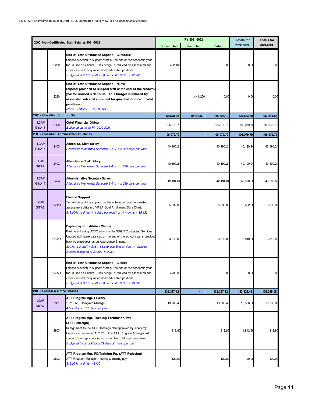|                       |                                   |                                                                                                                                                                                                                                                                                                                                           |                     | FY 2021-2022 |              | <b>Totals for</b> | <b>Totals for</b> |
|-----------------------|-----------------------------------|-------------------------------------------------------------------------------------------------------------------------------------------------------------------------------------------------------------------------------------------------------------------------------------------------------------------------------------------|---------------------|--------------|--------------|-------------------|-------------------|
|                       |                                   | 2000 Non-Certificated Staff Salaries 2021-2022                                                                                                                                                                                                                                                                                            | <b>Unrestricted</b> | Restricted   | <b>Total</b> | 2022-2023         | 2023-2024         |
|                       | 2230                              | End of Year Attendance Stipend - Custodial<br>Stipend provided to support staff at the end of the academic year<br>for unused sick hours. This budget is reduced by associated sub<br>costs incurred for qualified non-certificated positions.<br>Budgeted at $2 F/T$ staff x 80 hrs. x \$15.00/hr. = \$2,400                             | $x = 2,400$         |              | 0.00         | 0.00              | 0.00              |
|                       | 2230                              | End of Year Attendance Stipend - Nurse<br>Stipend provided to support staff at the end of the academic<br>year for unused sick hours. This budget is reduced by<br>associated sub costs incurred for qualified non-certificated<br>positions<br>80 hrs. x \$15/hr. = \$1,200 hrs.                                                         |                     | $x = 1,200$  | 0.00         | 0.00              | 0.00              |
|                       | 2200 - Classified Support Staff   |                                                                                                                                                                                                                                                                                                                                           | 85,678.32           | 49,948.80    | 135,627.12   | 136,583.60        | 137, 344.88       |
| <b>LCAP</b><br>G1/A16 | 2300                              | <b>Chief Financial Officer</b><br>Budgeted same as FY 2020-2021                                                                                                                                                                                                                                                                           | 106,079.79          |              | 106,079.79   | 106,079.79        | 106,079.79        |
|                       |                                   | 2300 - Classified Administrators' Salaries                                                                                                                                                                                                                                                                                                | 106,079.79          |              | 106,079.79   | 106,079.79        | 106,079.79        |
| <b>LCAP</b><br>G1/A14 | 2403                              | Admin Sr. Clerk Salary<br>Alternative Workweek Schedule 9/4/ + 4 x 239 days per year                                                                                                                                                                                                                                                      | 40, 190.24          |              | 40, 190.24   | 40, 190.24        | 40, 190.24        |
| <b>LCAP</b><br>G6/A2  | 2403                              | Attendance Clerk Salary<br>Alternative Workweek Schedule 9/4/ + 4 x 239 days per year                                                                                                                                                                                                                                                     | 40, 190.24          |              | 40, 190.24   | 40, 190.24        | 40, 190.24        |
| <b>LCAP</b><br>G1/A17 | 2404                              | Administrative Secretary Salary<br>Alternative Workweek Schedule 9/4/ + 4 x 239 days per year                                                                                                                                                                                                                                             | 42, 484.64          |              | 42, 484.64   | 43,976.00         | 45,505.60         |
| <b>LCAP</b><br>G5/A3  | 2402-1                            | <b>Clerical Support</b><br>To provide an initial support on the entering of teacher-created<br>assessment data into YPSA Goal Attainment Data Chart.<br>\$16.00/hr. x 8 hrs. x 4 days per month x 11 months = \$5,632                                                                                                                     | 5,632.00            |              | 5,632.00     | 5,632.00          | 5,632.00          |
|                       | 2402-1                            | Day-to-Day Substitute - Clerical<br>Paid here if using UCSC sub or under 5899.2 Contracted Services.<br>Unused sick leave balances at the end of the school year is provided<br>back to employees as an Attendance Stipend.<br>80 hrs. $x$ 3 staff $x$ \$16 = \$3,840 less End of Year Attendance<br>Stipend budgeted of \$3,600 in 2230. | 3,840.00            |              | 3,840.00     | 3,840.00          | 3,840.00          |
|                       | 2405-1                            | End of Year Attendance Stipend - Clerical<br>Stipend provided to support staff at the end of the academic year<br>for unused sick hours. This budget is reduced by associated sub<br>costs incurred for qualified non-certificated positions.<br>Budgeted at $3 F/T$ staff x 80 hrs. x \$15.00/hr. = \$3,600                              | $x = 3,600$         |              | 0.00         | 0.00              | 0.00              |
|                       | 2400 - Clerical & Office Salaries |                                                                                                                                                                                                                                                                                                                                           | 132, 337. 12        |              | 132, 337.12  | 133,828.48        | 135, 358.08       |
| <b>LCAP</b><br>G5/A7  | 2801                              | ATT Program Mgr. I Salary<br>1 P/T ATT Program Manager<br>4 hrs./day x 161 days per year                                                                                                                                                                                                                                                  | 13,266.40           |              | 13,266.40    | 13,536.88         | 13,536.88         |
|                       | 2803                              | ATT Program Mgr. Training Facilitation Pay<br>(ATT Redesign)<br>In alignment to the ATT Redesign plan approved by Academy<br>Council on December 1, 2020. The ATT Program Manager will<br>conduct trainings specified in in the plan to IA staff members.<br>Budgeted for an additional 22 days at 4/hrs. per day.                        | 1,812.80            |              | 1,812.80     | 1,812.80          | 1,812.80          |
|                       | 2803                              | ATT Program Mgr. PD/Training Pay (ATT Redesign)<br>ATT Program Manager meeting & training pay<br>$$15.00/hr. x 8 hrs. = $120$                                                                                                                                                                                                             | 120.00              |              | 120.00       | 120.00            | 120.00            |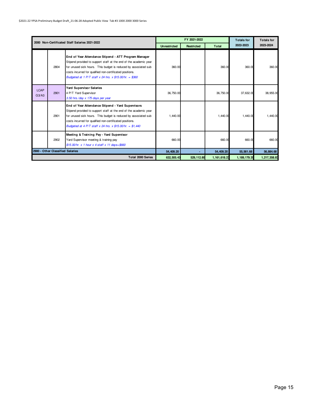|                      |                                  | 2000 Non-Certificated Staff Salaries 2021-2022                                                                                                                                                                                                                                                                       |                     | FY 2021-2022      |                | <b>Totals for</b> | <b>Totals for</b> |
|----------------------|----------------------------------|----------------------------------------------------------------------------------------------------------------------------------------------------------------------------------------------------------------------------------------------------------------------------------------------------------------------|---------------------|-------------------|----------------|-------------------|-------------------|
|                      |                                  |                                                                                                                                                                                                                                                                                                                      | <b>Unrestricted</b> | <b>Restricted</b> | <b>Total</b>   | 2022-2023         | 2023-2024         |
|                      | 2804                             | End of Year Attendance Stipend - ATT Program Manager<br>Stipend provided to support staff at the end of the academic year<br>for unused sick hours. This budget is reduced by associated sub<br>costs incurred for qualified non-certificated positions.<br>Budgeted at 1 P/T staff x 24 hrs. x \$15.00/hr. = \$360  | 360.00              |                   | 360.00         | 360.00            | 360.00            |
| <b>LCAP</b><br>G3/A3 | 2901                             | <b>Yard Supervisor Salaries</b><br>4 P/T Yard Supervisor<br>3.50 hrs./day x 175 days per year                                                                                                                                                                                                                        | 36,750.00           |                   | 36,750.00      | 37,632.00         | 38,955.00         |
|                      | 2901                             | End of Year Attendance Stipend - Yard Supervisors<br>Stipend provided to support staff at the end of the academic year<br>for unused sick hours. This budget is reduced by associated sub<br>costs incurred for qualified non-certificated positions.<br>Budgeted at 4 P/T staff x 24 hrs. x $$15.00$ /hr. = \$1,440 | 1,440.00            |                   | 1,440.00       | 1,440.00          | 1,440.00          |
|                      | 2902                             | Meeting & Training Pay - Yard Supervisor<br>Yard Supervisor meeting & training pay<br>\$15.00/hr. x 1 hour x 4 staff x 11 days=\$660                                                                                                                                                                                 | 660.00              |                   | 660.00         | 660.00            | 660.00            |
|                      | 2900 - Other Classified Salaries |                                                                                                                                                                                                                                                                                                                      | 54,409.20           |                   | 54,409.20      | 55,561.68         | 56,884.68         |
|                      |                                  | <b>Total 2000 Series</b>                                                                                                                                                                                                                                                                                             | 632, 505.43         | 529, 112.80       | 1, 161, 618.23 | 1,189,179.35      | 1,217,358.83      |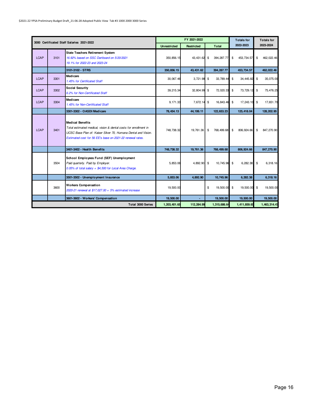|             |      | 3000 Certificated Staff Salaries 2021-2022                                                                                                                                                                                 |                     | FY 2021-2022      |      |              | <b>Totals for</b>             | <b>Totals for</b> |
|-------------|------|----------------------------------------------------------------------------------------------------------------------------------------------------------------------------------------------------------------------------|---------------------|-------------------|------|--------------|-------------------------------|-------------------|
|             |      |                                                                                                                                                                                                                            | <b>Unrestricted</b> | <b>Restricted</b> |      | Total        | 2022-2023                     | 2023-2024         |
| <b>LCAP</b> | 3101 | <b>State Teachers Retirement System</b><br>16.92% based on SSC Dartboard on 5/20/2021<br>19.1% for 2022-23 and 2023-24                                                                                                     | 350, 856.15         | 43, 431.62 \$     |      | 394, 287.77  | \$<br>453,734.57              | \$<br>462, 022.46 |
|             |      | 3101-3102 - STRS                                                                                                                                                                                                           | 350,856.15          | 43,431.62         |      | 394, 287.77  | 453,734.57                    | 462,022.46        |
| <b>LCAP</b> | 3301 | Medicare<br>1.45% for Certificated Staff                                                                                                                                                                                   | 30,067.46           | $3,721.98$ \$     |      | 33,789.44    | \$<br>34, 445.82              | \$<br>35,075.00   |
| <b>LCAP</b> | 3302 | <b>Social Security</b><br>6.2% for Non-Certificated Staff                                                                                                                                                                  | 39.215.34           | 32,804.99 \$      |      | 72.020.33    | \$<br>73,729.12               | \$<br>75,476.25   |
| <b>LCAP</b> | 3304 | Medicare<br>1.45% for Non-Certificated Staff                                                                                                                                                                               | 9,171.33            | 7,672.14 \$       |      | 16,843.46    | \$<br>17,243.10               | \$<br>17,651.70   |
|             |      | 3301-3302 - OASDI/Medicare                                                                                                                                                                                                 | 78.454.13           | 44, 199.11        |      | 122,653.23   | 125.418.04                    | 128, 202.95       |
| <b>LCAP</b> | 3401 | <b>Medical Benefits</b><br>Total estimated medical, vision & dental costs for enrollment in<br>UCSC Base Plan of: Kaiser Silver 70, Humana Dental and Vision.<br>Estimated cost for 56 EE's base on 2021-22 renewal rates. | 748,738.32          | 19,761.36         | \$   | 768, 499.68  | $\mathfrak{L}$<br>806, 924.66 | \$<br>847,270.90  |
|             |      | 3401-3402 - Health Benefits                                                                                                                                                                                                | 748,738.32          | 19,761.36         |      | 768, 499.68  | 806, 924.66                   | 847,270.90        |
|             | 3504 | School Employees Fund (SEF) Unemployment<br>Paid quarterly. Paid by Employer.<br>0.05% of total salary + \$4,500 for Local Area Charge.                                                                                    | 5,853.06            | 4,892.90          | - \$ | 10.745.96 \$ | 6,282.38                      | \$<br>6,318.16    |
|             |      | 3501-3502 - Unemployment Insurance                                                                                                                                                                                         | 5,853.06            | 4,892.90          |      | 10,745.96    | 6,282.38                      | 6,318.16          |
|             | 3600 | <b>Workers Compensation</b><br>2020-21 renewal at \$17,027.00 + 5% estimated increase                                                                                                                                      | 19,500.00           |                   | \$   | 19,500.00    | \$<br>19,500.00               | \$<br>19,500.00   |
|             |      | 3601-3602 - Workers' Compensation                                                                                                                                                                                          | 19,500.00           |                   |      | 19,500.00    | 19,500.00                     | 19,500.00         |
|             |      | Total 3000 Series                                                                                                                                                                                                          | 1,203,401.65        | 112,284.99        |      | 1,315,686.64 | 1,411,859.65                  | 1,463,314.47      |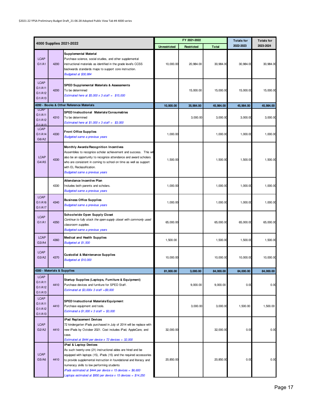|                                           |                             |                                                                                                                                                                                                                                                                                                                                                                                                                     |              | FY 2021-2022 |              | <b>Totals for</b> | <b>Totals for</b> |
|-------------------------------------------|-----------------------------|---------------------------------------------------------------------------------------------------------------------------------------------------------------------------------------------------------------------------------------------------------------------------------------------------------------------------------------------------------------------------------------------------------------------|--------------|--------------|--------------|-------------------|-------------------|
|                                           |                             | 4000 Supplies 2021-2022                                                                                                                                                                                                                                                                                                                                                                                             | Unrestricted | Restricted   | <b>Total</b> | 2022-2023         | 2023-2024         |
| <b>LCAP</b><br>G1/A1                      | 4200                        | <b>Supplemental Material</b><br>Purchase science, social studies, and other supplemental<br>instructional materials as identified in the grade level's CCSS<br>backwards standards maps to support core instruction.<br>Budgeted at \$30,984                                                                                                                                                                        | 10,000.00    | 20,984.00    | 30,984.00    | 30,984.00         | 30,984.00         |
| <b>LCAP</b><br>G1/A11<br>G1/A12<br>G1/A13 | 4200                        | <b>SPED Supplemental Materials &amp; Assessments</b><br>To be determined<br>Estimated here at \$5,000 x 3 staff = $$15,000$                                                                                                                                                                                                                                                                                         |              | 15,000.00    | 15,000.00    | 15,000.00         | 15,000.00         |
|                                           |                             | 4200 - Books & Other Reference Materials                                                                                                                                                                                                                                                                                                                                                                            | 10,000.00    | 35,984.00    | 45,984.00    | 45,984.00         | 45,984.00         |
| <b>LCAP</b><br>G1/A11<br>G1/A12<br>G1/A13 | 4310                        | SPED Instructional Materials/Consumables<br>To be determined<br>Estimated here at $$1,000 \times 3$ staff = $$3,000$                                                                                                                                                                                                                                                                                                |              | 3,000.00     | 3,000.00     | 3,000.00          | 3,000.00          |
| <b>LCAP</b><br>G1/A14<br>G6/A2            | 4330                        | <b>Front Office Supplies</b><br><b>Budgeted same a previous years</b>                                                                                                                                                                                                                                                                                                                                               | 1,000.00     |              | 1,000.00     | 1,000.00          | 1,000.00          |
| <b>LCAP</b><br>G4/A5                      | 4330                        | Monthly Awards/Recognition Incentives<br>Assemblies to recognize scholar achievement and success. This will<br>also be an opportunity to recognize attendance and award scholars<br>who are consistent in coming to school on time as well as support<br>with EL Reclassification.<br><b>Budgeted same a previous years</b>                                                                                         | 1,500.00     |              | 1,500.00     | 1,500.00          | 1,500.00          |
|                                           | 4330                        | Attendance Incentive Plan<br>Includes both parents and scholars.<br><b>Budgeted same a previous years</b>                                                                                                                                                                                                                                                                                                           | 1,000.00     |              | 1,000.00     | 1,000.00          | 1,000.00          |
| <b>LCAP</b><br>G1/A16<br>G1/A17           | 4340                        | <b>Business Office Supplies</b><br><b>Budgeted same a previous years</b>                                                                                                                                                                                                                                                                                                                                            | 1,000.00     |              | 1,000.00     | 1,000.00          | 1,000.00          |
| <b>LCAP</b><br>G1/A1                      | 4350                        | Schoolwide Open Supply Closet<br>Continue to fully stock the open-supply closet with commonly used<br>classroom supplies.<br><b>Budgeted same a previous years</b>                                                                                                                                                                                                                                                  | 65,000.00    |              | 65,000.00    | 65,000.00         | 65,000.00         |
| <b>LCAP</b><br>G3/A4                      | 4360                        | Medical and Health Supplies<br>Budgeted at \$1,500                                                                                                                                                                                                                                                                                                                                                                  | 1,500.00     |              | 1,500.00     | 1,500.00          | 1,500.00          |
| <b>LCAP</b><br>G3/A2                      | 4370                        | <b>Custodial &amp; Maintenance Supplies</b><br>Budgeted at \$10,000                                                                                                                                                                                                                                                                                                                                                 | 10,000.00    |              | 10,000.00    | 10,000.00         | 10,000.00         |
|                                           | 4300 - Materials & Supplies |                                                                                                                                                                                                                                                                                                                                                                                                                     | 81,000.00    | 3.000.00     | 84,000.00    | 84,000.00         | 84,000.00         |
| <b>LCAP</b><br>G1/A11<br>G1/A12<br>G1/A13 | 4410                        | Startup Supplies (Laptops, Furniture & Equipment)<br>Purchase devices and furniture for SPED Staff.<br>Estimated at $$3,000x$ 3 staff = \$9,000                                                                                                                                                                                                                                                                     |              | 9,000.00     | 9,000.00     | 0.00              | 0.00              |
| <b>LCAP</b><br>G1/A11<br>G1/A12<br>G1/A13 | 4410                        | <b>SPED Instructional Materials/Equipment</b><br>Purchase equipment and tools.<br>Estimated a $$1,000 \times 3$ staff = $$3,000$                                                                                                                                                                                                                                                                                    |              | 3,000.00     | 3,000.00     | 1,500.00          | 1,500.00          |
| <b>LCAP</b><br>G2/A2                      | 4410                        | iPad Replacement Devices<br>72 kindergarten iPads purchased in July of 2014 will be replace with<br>new iPads by October 2021. Cost includes iPad, AppleCare, and<br>case.<br>Estimated at \$444 per device $x$ 72 devices = 32,000                                                                                                                                                                                 | 32,000.00    |              | 32,000.00    | 0.00              | 0.00              |
| <b>LCAP</b><br>G5/A6                      | 4410                        | iPad & Laptop Devices<br>As such twenty-one (21) instructional aides are hired and be<br>equipped with laptops (15), iPads (15) and the required accessories<br>to provide supplemental instruction in foundational and literacy and<br>numeracy skills to low performing students<br>iPads estimated at \$444 per device $x$ 15 devices = \$6,600<br>Laptops estimated at \$950 per device x 15 devices = \$14,250 | 20,850.00    |              | 20,850.00    | 0.00              | 0.00              |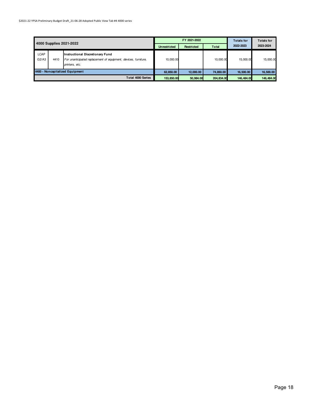|                                 |                         | FY 2021-2022                                                                                                                 |                     |            | <b>Totals for</b> | <b>Totals for</b> |           |
|---------------------------------|-------------------------|------------------------------------------------------------------------------------------------------------------------------|---------------------|------------|-------------------|-------------------|-----------|
|                                 | 4000 Supplies 2021-2022 |                                                                                                                              | <b>Unrestricted</b> | Restricted | <b>Total</b>      | 2022-2023         | 2023-2024 |
| <b>LCAP</b><br>G2/A3            | 4410                    | <b>Instructional Discretionary Fund</b><br>For unanticipated replacement of equipment, devices, furniture,<br>printers, etc. | 10.000.00           |            | 10,000.00         | 15,000.00         | 15,000.00 |
| 4400 - Noncapitalized Equipment |                         | 62,850.00                                                                                                                    | 12,000.00           | 74,850.00  | 16,500.00         | 16,500.00         |           |
| <b>Total 4000 Series</b>        |                         | 153,850.00                                                                                                                   | 50,984.00           | 204,834.00 | 146,484,00        | 146,484.00        |           |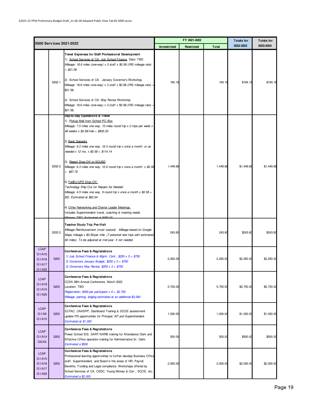|                                                     | 5000 Services 2021-2022 |                                                                                                                                                                                                                                                                                                                                                                                                                                                                                                                                                                                                                                                                                                                                                            |                     | FY 2021-2022 |              | <b>Totals for</b> | <b>Totals for</b> |
|-----------------------------------------------------|-------------------------|------------------------------------------------------------------------------------------------------------------------------------------------------------------------------------------------------------------------------------------------------------------------------------------------------------------------------------------------------------------------------------------------------------------------------------------------------------------------------------------------------------------------------------------------------------------------------------------------------------------------------------------------------------------------------------------------------------------------------------------------------------|---------------------|--------------|--------------|-------------------|-------------------|
|                                                     |                         |                                                                                                                                                                                                                                                                                                                                                                                                                                                                                                                                                                                                                                                                                                                                                            | <b>Unrestricted</b> | Restricted   | <b>Total</b> | 2022-2023         | 2023-2024         |
|                                                     | 5202-1                  | Travel Expenses for Staff Professional Development<br>1) School Services of CA: July School Finance, Date: TBD<br>Mileage: 18.6 miles (one-way) x 3 staff x \$0.58 (IRS mileage rate)<br>$= $21.58$<br>2) School Services of CA: January Governor's Workshop,<br>Mileage: 18.6 miles (one-way) x 3 staff x \$0.58 (IRS mileage rate) =<br>\$21.58.<br>3) School Services of CA: May Revise Workshop<br>Mileage: 18.6 miles (one-way) x 3 staff x \$0.58 (IRS mileage rate) =<br>\$21.58.                                                                                                                                                                                                                                                                   | 194.18              |              | 194.18       | \$194.18          | \$194.18          |
|                                                     | 5202-2                  | Day-to-Day Operations & Travel<br>1) Pickup Mail from School PO Box<br>Mileage: 7.5 miles one way, 15 miles round trip x 2 trips per week x<br>48 weeks x \$0.58/mile = \$835.20<br>2) Bank Deposits<br>Mileage: 8.2 miles one way, 16.4 round trip x once a month or as<br>needed x 12 mo. x $$0.58 = $114.14$<br>3) Report Drop Off to SCUSD<br>Mileage: 6.3 miles one way, 12.6 round trip x once a month $x$ \$0.58<br>$= $87.70$<br>5) FedEx/UPS Drop Off<br>Technology Ship Out for Repairs As Needed<br>Mileage: 4.5 miles one way, 9 round trip x once a month x $$0.58 =$<br>BD, Estimated at \$62.64<br>4) Other Networking and Charter Leader Meetings<br>Includes Superintendent travel, coaching & meeting needs<br>TRD Estimated at \$250.00 | 1,449.68            |              | 1,449.68     | \$1,449.68        | \$1,449.68        |
|                                                     | 5202-3                  | Teacher Study Trip Pre-Visit<br>Mileage Reimbursement (must carpool). Mileage based on Google<br>Maps mileage x \$0.58/per mile. (7 potential new trips with estimated<br>60 miles). To be adjusted at mid-year if not needed.                                                                                                                                                                                                                                                                                                                                                                                                                                                                                                                             | 243.60              |              | 243.60       | \$243.60          | \$243.60          |
| <b>LCAP</b><br>G1/A15<br>G1/A16<br>G1/A17<br>G1/A20 | 5203                    | <b>Conference Fees &amp; Registrations</b><br>1) July School Finance & Mgmt. Conf., \$250 $x$ 3 = \$750<br>2) Governors January Budget, $$250 \times 3 = $750$<br>3) Governors May Revise, $$250 \times 3 = $750$                                                                                                                                                                                                                                                                                                                                                                                                                                                                                                                                          | 2,250.00            |              | 2,250.00     | \$2,250.00        | \$2,250.00        |
| <b>LCAP</b><br>G1/A19<br>G1/A15<br>G1/A20           | 5203                    | Conference Fees & Registrations<br>CCSA 28th Annual Conference, March 2022<br>Location: TBD<br>Registration: \$450 per participant $x 6 = $2,700$<br>Mileage, parking, lodging estimated at an additional \$3,000                                                                                                                                                                                                                                                                                                                                                                                                                                                                                                                                          | 5,700.00            |              | 5,700.00     | \$5,700.00        | \$5,700.00        |
| <b>LCAP</b><br>G1/A9<br>G1/A10                      | 5203                    | <b>Conference Fees &amp; Registrations</b><br>ELPAC, CAASPP, Dashboard Training & SCOE assessment<br>update PD opportunities for Principal, AP and Superintendent.<br>Estimated at \$1,000                                                                                                                                                                                                                                                                                                                                                                                                                                                                                                                                                                 | 1,000.00            |              | 1,000.00     | \$1,000.00        | \$1,000.00        |
| <b>LCAP</b><br>G1/A14<br>G6/A2                      | 5203                    | <b>Conference Fees &amp; Registrations</b><br>Power School SIS, SART/SARB training for Attendance Clerk and<br>Effective Office operation training for Administrative Sr. Clerk.<br>Estimated a \$500                                                                                                                                                                                                                                                                                                                                                                                                                                                                                                                                                      | 500.00              |              | 500.00       | \$500.00          | \$500.00          |
| <b>LCAP</b><br>G1/A15<br>G1/A16<br>G1/A17<br>G1/A20 | 5203                    | Conference Fees & Registrations<br>Professional learning opportunities to further develop Business Office<br>staff, Superintendent, and Board in the areas of HR, Payroll,<br>Benefits, Funding and Legal compliance. Workshops offered by<br>School Services of CA, CSDC, Young Minney & Corr., SCOE, etc.<br>Estimated a \$2,000                                                                                                                                                                                                                                                                                                                                                                                                                         | 2,000.00            |              | 2,000.00     | \$2,000.00        | \$2,000.00        |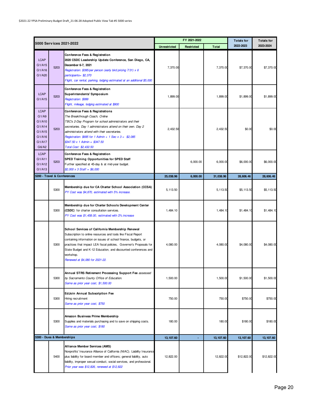|                                                                                 |                             |                                                                                                                                                                                                                                                                                                                                                                                |                     | FY 2021-2022 |              | <b>Totals for</b> | <b>Totals for</b> |
|---------------------------------------------------------------------------------|-----------------------------|--------------------------------------------------------------------------------------------------------------------------------------------------------------------------------------------------------------------------------------------------------------------------------------------------------------------------------------------------------------------------------|---------------------|--------------|--------------|-------------------|-------------------|
|                                                                                 |                             | 5000 Serv ices 2021-2022                                                                                                                                                                                                                                                                                                                                                       | <b>Unrestricted</b> | Restricted   | <b>Total</b> | 2022-2023         | 2023-2024         |
| <b>LCAP</b><br>G1/A15<br>G1/A16<br>G1/A20                                       | 5203                        | Conference Fees & Registration<br>2020 CSDC Leadership Update Conference, San Diego, CA,<br>December 6-7, 2021<br>Registration: \$395/per person (early bird pricing 7/31) x 6<br>participants=\$2,370<br>Flight, car rental, parking, lodging estimated at an additional \$5,000                                                                                              | 7,370.00            |              | 7,370.00     | \$7,370.00        | \$7,370.00        |
| <b>LCAP</b><br>G1/A15                                                           | 5203                        | Conference Fees & Registration<br>Superintendents' Symposium<br>Registration: \$999<br>Flight, mileage, lodging estimated at \$900                                                                                                                                                                                                                                             | 1,899.00            |              | 1,899.00     | \$1,899.00        | \$1,899.00        |
| <b>LCAP</b><br>G1/Ag<br>G1/A10<br>G1/A14<br>G1/A15<br>G1/A16<br>G1/A17<br>G6/A2 | 5203                        | Conference Fees & Registrations<br>The Breakthrough Coach, Online<br>TBC's 2-Day Program for school administrators and their<br>secretaries. Day 1 administrators attend on their own. Day 2<br>administrators attend with their secretaries.<br>Registration: \$695 for 1 Admin + 1 Sec x 3 = \$2,085<br>$$347.50 \times 1$ Admin = \$347.50<br>Total Cost: \$2,432.50        | 2,432.50            |              | 2,432.50     | \$0.00            | \$0.00            |
| <b>LCAP</b><br>G1/A11<br>G1/A12<br>G1/A13                                       | 5203                        | Conference Fees & Registration<br>SPED Training Opportunities for SPED Staff<br>Further specified at 45-day & at mid-year budget.<br>$$2,000 \times 3 \text{ Staff} = $6,000$                                                                                                                                                                                                  |                     | 6,000.00     | 6.000.00     | \$6,000.00        | \$6,000.00        |
|                                                                                 | 5200 - Travel & Conferences |                                                                                                                                                                                                                                                                                                                                                                                | 25,038.96           | 6,000.00     | 31,038.96    | 28,606.46         | 28,606.46         |
|                                                                                 | 5300                        | Membership due for CA Charter School Association (CCSA)<br>PY Cost was \$4,870, estimated with 5% increase.                                                                                                                                                                                                                                                                    | 5, 113.50           |              | 5,113.50     | \$5,113.50        | \$5,113.50        |
|                                                                                 | 5300                        | Membership due for Charter Schools Development Center<br>(CSDC) for charter consultation services.<br>PY Cost was \$1,458.00, estimated with 2% increase                                                                                                                                                                                                                       | 1,484.10            |              | 1,484.10     | \$1,484.10        | \$1,484.10        |
|                                                                                 | 5300                        | School Services of California Membership Renewal<br>Subscription to online resources and tools like Fiscal Report<br>containing information on issues of school finance, budgets, or<br>practices that impact LEA fiscal policies, Governor's Proposals for<br>State Budget and K-12 Education, and discounted conferences and<br>workshop.<br>Renewed at \$4,080 for 2021-22. | 4,080.00            |              | 4,080.00     | \$4,080.00        | \$4,080.00        |
|                                                                                 | 5300                        | Annual STRS Retirement Processing Support Fee assessed<br>by Sacramento County Office of Education.<br>Same as prior year cost, \$1,500.00                                                                                                                                                                                                                                     | 1,500.00            |              | 1,500.00     | \$1,500.00        | \$1,500.00        |
|                                                                                 | 5300                        | <b>EdJoin Annual Subscription Fee</b><br>Hiring recruitment<br>Same as prior year cost, \$750                                                                                                                                                                                                                                                                                  | 750.00              |              | 750.00       | \$750.00          | \$750.00          |
|                                                                                 | 5300                        | Amazon Business Prime Membership<br>Supplies and materials purchasing and to save on shipping costs.<br>Same as prior year cost, \$180                                                                                                                                                                                                                                         | 180.00              |              | 180.00       | \$180.00          | \$180.00          |
|                                                                                 | 5300 - Dues & Memberships   |                                                                                                                                                                                                                                                                                                                                                                                | 13, 107.60          | ٠            | 13, 107.60   | 13, 107.60        | 13, 107.60        |
|                                                                                 | 5400                        | Alliance Member Services (AMS)<br>Nonprofits' Insurance Alliance of California (NIAC). Liability Insurance<br>plus liability for board member and officers; general liability, auto<br>liability, improper sexual conduct, social services, and professional.<br>Prior year was \$12,826, renewed at \$12,822                                                                  | 12,822.00           |              | 12,822.00    | \$12,822.00       | \$12,822.00       |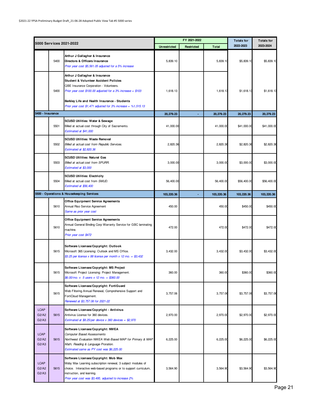|                               |                         |                                                                                                                                                                                                                                                                |                     | FY 2021-2022 |              | <b>Totals for</b> | <b>Totals for</b> |
|-------------------------------|-------------------------|----------------------------------------------------------------------------------------------------------------------------------------------------------------------------------------------------------------------------------------------------------------|---------------------|--------------|--------------|-------------------|-------------------|
|                               | 5000 Services 2021-2022 |                                                                                                                                                                                                                                                                | <b>Unrestricted</b> | Restricted   | <b>Total</b> | 2022-2023         | 2023-2024         |
|                               | 5400                    | Arthur J Gallagher & Insurance<br>Directors & Officers Insurance<br>Prior year cost \$5,561.05 adjusted for a 5% increase                                                                                                                                      | 5,839.10            |              | 5,839.10     | \$5,839.10        | \$5,839.10        |
|                               | 5400                    | Arthur J Gallagher & Insurance<br>Student & Volunteer Accident Policies<br>QBE Insurance Corporation - Volunteers.<br>Prior year cost $$100.00$ adjusted for a 3% increase = $$103$<br>Berkley Life and Health Insurance - Students                            | 1,618.13            |              | 1,618.13     | \$1,618.13        | \$1,618.13        |
|                               |                         | Prior year cost \$1,471 adjusted for $3\%$ increase = $\%1,515.13$                                                                                                                                                                                             |                     |              |              |                   |                   |
| 5400 - Insurance              |                         |                                                                                                                                                                                                                                                                | 20, 279.23          |              | 20,279.23    | 20,279.23         | 20,279.23         |
|                               | 5501                    | SCUSD Utilities: Water & Sewage<br>Billed at actual cost through City of Sacramento.<br>Estimated at \$41,000                                                                                                                                                  | 41,000.00           |              | 41,000.00    | \$41,000.00       | \$41,000.00       |
|                               | 5502                    | SCUSD Utilities: Waste Removal<br>Billed at actual cost from Republic Services.<br>Estimated at \$2,820.36                                                                                                                                                     | 2,820.36            |              | 2,820.36     | \$2,820.36        | \$2,820.36        |
|                               | 5503                    | <b>SCUSD Utilities: Natural Gas</b><br>Billed at actual cost from SPURR.<br>Estimated at \$3,000                                                                                                                                                               | 3,000.00            |              | 3,000.00     | \$3,000.00        | \$3,000.00        |
|                               | 5504                    | <b>SCUSD Utilities: Electricity</b><br>Billed at actual cost from SMUD.<br>Estimated at \$56,400                                                                                                                                                               | 56,400.00           |              | 56,400.00    | \$56,400.00       | \$56,400.00       |
|                               |                         | 5500 - Operations & Housekeeping Services                                                                                                                                                                                                                      | 103,220.36          |              | 103,220.36   | 103,220.36        | 103,220.36        |
|                               | 5610                    | <b>Office Equipment Service Agreements</b><br>Annual Riso Service Agreement<br>Same as prior year cost                                                                                                                                                         | 450.00              |              | 450.00       | \$450.00          | \$450.00          |
|                               | 5610                    | <b>Office Equipment Service Agreements</b><br>Annual General Binding Corp Warranty Service for GBC laminating<br>machine.<br>Prior year cost \$472                                                                                                             | 472.00              |              | 472.00       | \$472.00          | \$472.00          |
|                               | 5615                    | Software Licenses/Copyright: Outlook<br>Microsoft 365 Licensing: Outlook and MS Office.<br>\$3.25 per license x 88 license per month x 12 mo. = \$3,432                                                                                                        | 3,432.00            |              | 3,432.00     | \$3,432.00        | \$3,432.00        |
|                               | 5615                    | Software Licenses/Copyright: MS Project<br>Microsoft Project Licensing: Project Management.<br>\$6.00/mo. x 5 users x 12 mo. = \$360.00                                                                                                                        | 360.00              |              | 360.00       | \$360.00          | \$360.00          |
|                               | 5615                    | Software Licenses/Copyright: FortiGuard<br>Web Filtering Annual Renewal, Comprehensive Support and<br>FortiCloud Management.<br>Renewed at \$3,757.06 for 2021-22                                                                                              | 3,757.06            |              | 3,757.06     | \$3,757.06        | \$3,757.06        |
| <b>LCAP</b><br>G2/A2<br>G2/A3 | 5615                    | Software Licenses/Copyright - Antivirus<br>Antivirus License for 360 devices.<br>Estimated at \$8.25/per device $x$ 360 devices = \$2,970                                                                                                                      | 2,970.00            |              | 2,970.00     | \$2,970.00        | \$2,970.00        |
| <b>LCAP</b><br>G2/A2<br>G2/A3 | 5615                    | Software Licenses/Copyright: NWEA<br><b>Computer Based Assessments</b><br>Northwest Evaluation NWEA Web Based MAP for Primary & MAP<br>Math, Reading & Language Proration.<br>Estimated same as PY cost was \$6,225.00                                         | 6,225.00            |              | 6,225.00     | \$6,225.00        | \$6,225.00        |
| <b>LCAP</b><br>G2/A2<br>G2/A3 | 5615                    | Software Licenses/Copyright: Mob Max<br>Moby Max Learning subscription renewal, 3 subject modules of<br>choice. Interactive web-based programs or to support curriculum,<br>instruction, and learning.<br>Prior year cost was \$3,495, adjusted to increase 2% | 3,564.90            |              | 3,564.90     | \$3,564.90        | \$3,564.90        |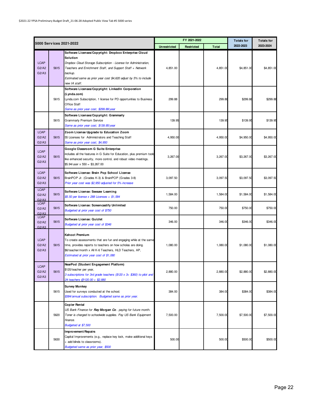|                               |      |                                                                                                                                                                                                                                                                                                      |                     | FY 2021-2022 |              | <b>Totals for</b> | <b>Totals for</b> |
|-------------------------------|------|------------------------------------------------------------------------------------------------------------------------------------------------------------------------------------------------------------------------------------------------------------------------------------------------------|---------------------|--------------|--------------|-------------------|-------------------|
|                               |      | 5000 Services 2021-2022                                                                                                                                                                                                                                                                              | <b>Unrestricted</b> | Restricted   | <b>Total</b> | 2022-2023         | 2023-2024         |
| <b>LCAP</b><br>G2/A2<br>G2/A3 | 5615 | Software Licenses/Copyright: Dropbox Enterprise Cloud<br>Solution<br>Dropbox Cloud Storage Subscription - License for Administration,<br>Teachers and Enrichment Staff, and Support Staff + Network<br>backup.<br>Estimated same as prior year cost \$4,620 adjust by 5% to include<br>new IA staff. | 4,851.00            |              | 4,851.00     | \$4,851.00        | \$4,851.00        |
|                               | 5615 | Software Licenses/Copyright: LinkedIn Corporation<br>(Lynda.com)<br>Lynda.com Subscription, 1 license for PD opportunities to Business<br>Office Staff<br>Same as prior year cost, \$299.88/year                                                                                                     | 299.88              |              | 299.88       | \$299.88          | \$299.88          |
|                               | 5615 | Software Licenses/Copyright: Grammarly<br>Grammarly Premium Service<br>Same as prior year cost, \$139.95/year                                                                                                                                                                                        | 139.95              |              | 139.95       | \$139.95          | \$139.95          |
| <b>LCAP</b><br>G2/A2<br>G2/A3 | 5615 | Zoom License Upgrade to Education Zoom<br>55 Licenses for Administrators and Teaching Staff<br>Same as prior year cost, \$4,950                                                                                                                                                                      | 4.950.00            |              | 4,950.00     | \$4,950.00        | \$4,950.00        |
| <b>LCAP</b><br>G2/A2<br>G2/A3 | 5615 | Google Classroom G Suite Enterprise<br>includes all the features in G Suite for Education, plus premium tools<br>like enhanced security, more control, and robust video meetings.<br>$$5.94/$ user x $550 = $3,267.00$                                                                               | 3,267.00            |              | 3,267.00     | \$3,267.00        | \$3,267.00        |
| <b>LCAP</b><br>G2/A2<br>G2/A3 | 5615 | Software License: Brain Pop School License<br>BrainPOP Jr. (Grades K-3) & BrainPOP (Grades 3-8)<br>Prior year cost was \$2,950 adjusted for 5% increase                                                                                                                                              | 3,097.50            |              | 3,097.50     | \$3,097.50        | \$3,097.50        |
| <b>LCAP</b><br>G2/A2<br>G2/A3 | 5615 | Software License: Seesaw Learning<br>\$5.50 per license x 288 Licenses = $$1,584$                                                                                                                                                                                                                    | 1,584.00            |              | 1,584.00     | \$1,584.00        | \$1,584.00        |
| <b>LCAP</b><br>G2/A2<br>G2/A3 | 5615 | Software License: Screencastify Unlimited<br>Budgeted at prior year cost of \$750                                                                                                                                                                                                                    | 750.00              |              | 750.00       | \$750.00          | \$750.00          |
| <b>LCAP</b><br>G2/A2<br>G2/A3 | 5615 | Software License: Quizlet<br>Budgeted at prior year cost of \$346                                                                                                                                                                                                                                    | 346.00              |              | 346.00       | \$346.00          | \$346.00          |
| <b>LCAP</b><br>G2/A2<br>G2/A3 | 5615 | Kahoot Premium<br>To create assessments that are fun and engaging while at the same<br>time, provides reports to teachers on how scholas are doing.<br>\$6/teacher/month x All K-6 Teachers, HLD Teachers, AP,<br>Estimated at prior year cost of \$1,080                                            | 1,080.00            |              | 1,080.00     | \$1,080.00        | \$1,080.00        |
| <b>LCAP</b><br>G2/A2<br>G2/A3 | 5615 | NearPod (Student Engagement Platform)<br>\$120/teacher per year,<br>3 subscriptions for 3rd grade teachers (\$120 x 3= \$360) to pilot and<br>24 teachers @120.00 = \$2,880                                                                                                                          | 2,880.00            |              | 2,880.00     | \$2,880.00        | \$2,880.00        |
|                               | 5615 | <b>Survey Monkey</b><br>Used for surveys conducted at the school.<br>\$384/annual subscription. Budgeted same as prior year.                                                                                                                                                                         | 384.00              |              | 384.00       | \$384.00          | \$384.00          |
|                               | 5620 | Copier Rental<br>US Bank Finance for Ray Morgan Co. paying for future month.<br>Toner is charged to schoolwide supplies. Pay US Bank Equipment<br>finance.<br>Budgeted at \$7,500                                                                                                                    | 7,500.00            |              | 7,500.00     | \$7,500.00        | \$7,500.00        |
|                               | 5630 | Improvement/Repairs<br>Capital Improvements (e.g., replace key lock, make additional keys<br>+ add blinds to classrooms).<br>Budgeted same as prior year, \$500                                                                                                                                      | 500.00              |              | 500.00       | \$500.00          | \$500.00          |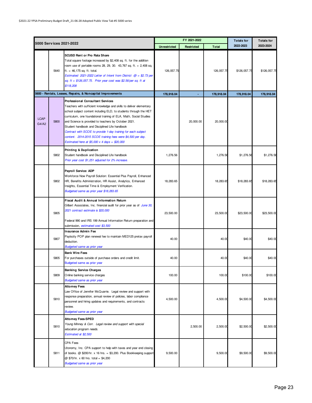|                      |      |                                                                                                                                                                                                                                                                                                                                                                                                                                                                                                                                                      |                     | FY 2021-2022 |              | <b>Totals for</b> | <b>Totals for</b> |
|----------------------|------|------------------------------------------------------------------------------------------------------------------------------------------------------------------------------------------------------------------------------------------------------------------------------------------------------------------------------------------------------------------------------------------------------------------------------------------------------------------------------------------------------------------------------------------------------|---------------------|--------------|--------------|-------------------|-------------------|
|                      |      | 5000 Serv ices 2021-2022                                                                                                                                                                                                                                                                                                                                                                                                                                                                                                                             | <b>Unrestricted</b> | Restricted   | <b>Total</b> | 2022-2023         | 2023-2024         |
|                      | 5640 | <b>SCUSD Rent or Pro Rata Share</b><br>Total square footage increased by \$2,408 sq. ft. for the addition<br>room use of portable rooms 28, 29, 30. 43, 767 sq. ft. + 2, 408 sq.<br>ft. = 46,175 sq. ft. total.<br>Estimated 2021-2022 Letter of Intent from District $\omega = $2.73$ per<br>sq. ft = \$126,057.75. Prior year cost was \$2.56/per sq. ft at<br>\$118,208                                                                                                                                                                           | 126,057.75          |              | 126,057.75   | \$126,057.75      | \$126,057.75      |
|                      |      | 5600 - Rentals, Leases, Repairs, & Noncapital Improvements                                                                                                                                                                                                                                                                                                                                                                                                                                                                                           | 178,918.04          |              | 178,918.04   | 178,918.04        | 178,918.04        |
| <b>LCAP</b><br>G4/A2 | 5800 | <b>Professional Consultant Services</b><br>Teachers with sufficient knowledge and skills to deliver elementary<br>school subject content including ELD, to students through the HET<br>curriculum, one foundational training of ELA, Math, Social Studies<br>and Science is provided to teachers by October 2021.<br>Student handbook and Disciplined Life handbook<br>Contract with SCOE to provide 1-day training for each subject<br>content. 2014-2015 SCOE training fees were \$4,500 per day.<br>Estimated here at \$5,000 x 4 days = \$20,000 |                     | 20,000.00    | 20,000.00    |                   |                   |
|                      | 5802 | <b>Printing &amp; Duplication</b><br>Student handbook and Disciplined Life handbook<br>Prior year cost \$1,251 adjusted for 2% increase.                                                                                                                                                                                                                                                                                                                                                                                                             | 1,276.56            |              | 1,276.56     | \$1,276.56        | \$1,276.56        |
|                      | 5802 | Payroll Service: ADP<br>Workforce Now Payroll Solution: Essential Plus Payroll, Enhanced<br>HR, Benefits Administration, HR Assist, Analytics, Enhanced<br>Insights, Essential Time & Employment Verification.<br>Budgeted same as prior year \$18,283.65                                                                                                                                                                                                                                                                                            | 18,283.65           |              | 18,283.65    | \$18,283.65       | \$18,283.65       |
|                      | 5805 | Fiscal Audit & Annual Information Return<br>Gilbert Associates, Inc. financial audit for prior year as of June 30,<br>2021 contract estimate is \$20,000<br>Federal 990 and IRS 199 Annual Information Return preparation and<br>submission, estimated cost \$3,500                                                                                                                                                                                                                                                                                  | 23,500.00           |              | 23,500.00    | \$23,500.00       | \$23,500.00       |
|                      | 5807 | Insurance Admin Fee<br>Paylocity POP plan renewal fee to maintain MED125 pretax payroll<br>deduction.<br><b>Budgeted same as prior year</b>                                                                                                                                                                                                                                                                                                                                                                                                          | 40.00               |              | 40.00        | \$40.00           | \$40.00           |
|                      | 5805 | <b>Bank Wire Fees</b><br>For purchases outside of purchase orders and credit limit.<br>Budgeted same as prior year                                                                                                                                                                                                                                                                                                                                                                                                                                   | 40.00               |              | 40.00        | \$40.00           | \$40.00           |
|                      | 5809 | <b>Banking Service Charges</b><br>Online banking service charges<br><b>Budgeted same as prior year</b>                                                                                                                                                                                                                                                                                                                                                                                                                                               | 100.00              |              | 100.00       | \$100.00          | \$100.00          |
|                      | 5810 | <b>Attorney Fees</b><br>Law Office of Jennifer McQuarrie. Legal review and support with<br>response preparation, annual review of policies, labor compliance<br>personnel and hiring updates and requirements, and contracts<br>review.<br>Budgeted same as prior year                                                                                                                                                                                                                                                                               | 4,500.00            |              | 4,500.00     | \$4,500.00        | \$4,500.00        |
|                      | 5810 | <b>Attorney Fees-SPED</b><br>Young Minney & Corr. Legal review and support with special<br>education program needs.<br>Estimated at \$2,500                                                                                                                                                                                                                                                                                                                                                                                                          |                     | 2,500.00     | 2,500.00     | \$2,500.00        | \$2,500.00        |
|                      | 5811 | <b>CPA Fees</b><br>Utonomy, Inc. CPA support to help with taxes and year end closing<br>of books. @ \$200/hr. x 16 hrs. = \$3,200. Plus Bookkeeping support<br>@ \$70/hr. x 60 hrs. total = \$4,200<br><b>Budgeted same as prior year</b>                                                                                                                                                                                                                                                                                                            | 9,500.00            |              | 9,500.00     | \$9,500.00        | \$9,500.00        |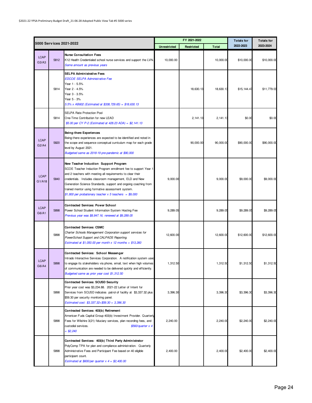|                       |      |                                                                                                                                                                                                                                                                                                                                                                                                                         |                     | FY 2021-2022 |              | <b>Totals for</b> | <b>Totals for</b> |
|-----------------------|------|-------------------------------------------------------------------------------------------------------------------------------------------------------------------------------------------------------------------------------------------------------------------------------------------------------------------------------------------------------------------------------------------------------------------------|---------------------|--------------|--------------|-------------------|-------------------|
|                       |      | 5000 Serv ices 2021-2022                                                                                                                                                                                                                                                                                                                                                                                                | <b>Unrestricted</b> | Restricted   | <b>Total</b> | 2022-2023         | 2023-2024         |
| <b>LCAP</b><br>G3/A3  | 5812 | <b>Nurse Consultation Fees</b><br>K12 Health Credentialed school nurse services and support the LVN.<br>Same amount as previous years                                                                                                                                                                                                                                                                                   | 10,000.00           |              | 10,000.00    | \$10,000.00       | \$10,000.00       |
|                       | 5814 | <b>SELPA Administrative Fees</b><br><b>EDCOE SELPA Administrative Fee</b><br>Year 1 - 5.5%<br>Year 2 - 4.5%<br>Year 3 - 3.5%<br>Year 5 - 3%<br>5.5% x AB602 (Estimated at \$338, 729.65) = \$18,630.13                                                                                                                                                                                                                  |                     | 18,630.13    | 18,630.13    | \$15, 144.47      | \$11,779.03       |
|                       | 5814 | <b>SELPA Rate Protection Pool</b><br>One-Time Contribution for new LEAD<br>\$5.00 per CY P-2 (Estimated at 428.23 ADA) = \$2,141.13                                                                                                                                                                                                                                                                                     |                     | 2, 141. 13   | 2, 141.13    | \$0.00            | \$0.00            |
| <b>LCAP</b><br>G2/A4  | 5820 | Being-there Experiences<br>Being-there experiences are expected to be identified and noted in<br>the scope and sequence conceptual curriculum map for each grade<br>level by August 2021.<br>Budgeted same as 2018-19 pre-pandemic at \$90,000                                                                                                                                                                          |                     | 90,000.00    | 90,000.00    | \$90,000.00       | \$90,000.00       |
| <b>LCAP</b><br>G1/A18 | 5840 | New Teacher Induction Support Program<br>SCOE Teacher Induction Program enrollment fee to support Year 1<br>and 2 teachers with meeting all requirements to clear their<br>credentials. Includes classroom management, ELD and New<br>Generation Science Standards, support and ongoing coaching from<br>trained mentor using formative assessment system.<br>\$1,800 per probationary teacher $x$ 5 teachers = \$9,000 | 9,000.00            |              | 9,000.00     | \$9,000.00        | \$9,000.00        |
| <b>LCAP</b><br>G6/A1  | 5898 | <b>Contracted Services: Power School</b><br>Power School Student Information System Hosting Fee<br>Previous year was \$8,847.16, renewed at \$9,289.05                                                                                                                                                                                                                                                                  | 9,289.05            |              | 9,289.05     | \$9,289.05        | \$9,289.05        |
|                       | 5898 | <b>Contracted Services: CSMC</b><br>Charter Schools Management Corporation support services for<br>PowerSchool Support and CALPADS Reporting.<br>Estimated at \$1,050.00 per month x 12 months = $$13,260$                                                                                                                                                                                                              | 12.600.00           |              | 12,600.00    | \$12,600.00       | \$12,600.00       |
| <b>LCAP</b><br>G6/A4  | 5898 | <b>Contracted Services: School Messenger</b><br>Intrado Interactive Services Corporation. A notification system used<br>to engage its stakeholders via phone, email, text when high volumes<br>of communication are needed to be delivered quickly and efficiently.<br>Budgeted same as prior year cost \$1,312.50                                                                                                      | 1,312.50            |              | 1,312.50     | \$1,312.50        | \$1,312.50        |
|                       | 5898 | <b>Contracted Services: SCUSD Security</b><br>Prior year cost was \$3,234.88. 2021-22 Letter of Intent for<br>Services from SCUSD indicates patrol of facility at \$3,337.32 plus<br>\$59.30 per security monitoring panel.<br>Estimated cost: \$3,337.32+ \$59.30 = 3,396.30                                                                                                                                           | 3,396.30            |              | 3,396.30     | \$3,396.30        | \$3,396.30        |
|                       | 5898 | Contracted Services: 403(b) Retirement<br>American Fuds Capital Group 403(b) Investment Provider. Quarterly<br>Fees for Wilshire 3(21) fiduciary services, plan recording fees, and<br>custodial services.<br>$$560/quarter \times 4$<br>$= $2,240$                                                                                                                                                                     | 2,240.00            |              | 2,240.00     | \$2,240.00        | \$2,240.00        |
|                       | 5898 | Contracted Services: 403(b) Third Party Administrator<br>PolyComp TPA for plan and compliance administration. Quarterly<br>Administrative Fees and Participant Fee based on 40 eligible<br>participant count.<br>Estimated at \$600/per quarter $x$ 4 = \$2,400.00                                                                                                                                                      | 2,400.00            |              | 2,400.00     | \$2,400.00        | \$2,400.00        |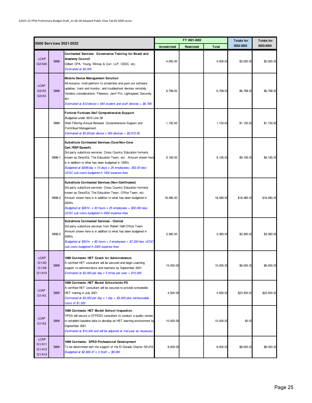|                                           |        |                                                                                                                                                                                                                                                                                                                                                                                 |                     | FY 2021-2022 |              | <b>Totals for</b> | <b>Totals for</b> |
|-------------------------------------------|--------|---------------------------------------------------------------------------------------------------------------------------------------------------------------------------------------------------------------------------------------------------------------------------------------------------------------------------------------------------------------------------------|---------------------|--------------|--------------|-------------------|-------------------|
|                                           |        | 5000 Services 2021-2022                                                                                                                                                                                                                                                                                                                                                         | <b>Unrestricted</b> | Restricted   | <b>Total</b> | 2022-2023         | 2023-2024         |
| <b>LCAP</b><br>G2/A20                     | 5898   | Contracted Services: Governance Training for Board and<br><b>Academy Council</b><br>Gilbert CPA, Young, Minney & Corr, LLP, CSDC, etc.<br>Estimated at \$4,000                                                                                                                                                                                                                  | 4,000.00            |              | 4,000.00     | \$3,000.00        | \$2,000.00        |
| <b>LCAP</b><br>G2/A2<br>G2/A3             | 5898   | Mobile Device Management Solution<br>All-inclusive, multi-platform to streamline and push out software<br>updates, track and monitor, and troubleshoot devices remotely.<br>Vendors considerations: Filewave, Jamf Pro, Lightspeed, Securely,<br>etc.<br>Estimated at \$12/device x 564 student and staff devices = $$6,768$                                                    | 6,768.00            |              | 6.768.00     | \$6,768.00        | \$6,768.00        |
|                                           | 5898   | Fortinet Forticare 24x7 Comprehensive Support<br>Budgeted under 5615 Line 38<br>Web Filtering Annual Renewal, Comprehensive Support and<br>FortiCloud Management.<br>Estimated at \$5.83/per device $x$ 500 devices = \$2,915.00                                                                                                                                                | 1,152.63            |              | 1,152.63     | \$1,152.63        | \$1,152.63        |
|                                           | 5898-1 | Substitute Contracted Services (Core/Non-Core<br>Cert./RSP/Speech)<br>3rd party substitute services: Cross Country Education formerly<br>known as DirectEd, The Education Team, etc. Amount shown here<br>is in addition to what has been budgeted in 1000's.<br>Budgeted at \$208/day x 10 days x 25 employees= \$52,00 less<br>UCSC sub costs budgeted in 1000 expense lines  | 9,165.00            |              | 9,165.00     | \$9,165.00        | \$9,165.00        |
|                                           | 5898-2 | Substitute Contracted Services (Non-Certificated)<br>3rd party substitute services: Cross Country Education formerly<br>known as DirectEd, The Education Team, Office Team, etc.<br>Amount shown here is in addition to what has been budgeted in<br>2000's.<br>Budgeted at \$26/hr. x 80 hours x 25 employees = \$52,000 less<br>UCSC sub costs budgeted in 2000 expense lines | 18,480.00           |              | 18,480.00    | \$18,480.00       | \$18,480.00       |
|                                           | 5898-2 | Substitute Contracted Services - Clerical<br>3rd party substitute services from Robert Half/Office Team.<br>Amount shown here is in addition to what has been budgeted in<br>2000's.<br>Budgeted at \$30/hr. x 80 hours x 3 employees = \$7,200 less UCSC<br>sub costs budgeted in 2000 expense lines                                                                           | 3,360.00            |              | 3,360.00     | \$3,360.00        | \$3,360.00        |
| <b>LCAP</b><br>G1/A2<br>G1/Ag<br>G1/A10   | 5899   | 1099 Contracts: HET Coach for Administrators<br>A certified HET consultant will be secured and begin coaching<br>support to administrators and teachers by September 2021.<br>Estimated at \$3,000 per day $x$ 5 times per year = \$15,000                                                                                                                                      | 15,000.00           |              | 15,000.00    | \$6,000.00        | \$6,000.00        |
| <b>LCAP</b><br>G1/A3                      | 5899   | 1099 Contracts: HET Model Schoolwide PD<br>A certified HET consultant will be secured to provide schoolwide<br>HET training in July 2021.<br>Estimated at \$3,000 per day $x$ 1 day = \$3,000 plus reimbursable<br>costs of \$1,500                                                                                                                                             | 4,500.00            |              | 4,500.00     | \$23,500.00       | \$23,500.00       |
| <b>LCAP</b><br>G1/A3                      | 5899   | 1099 Contracts: HET Model School Inspection<br>YPSA will secure a CFPEDU consultant to conduct a quality review<br>to establish baseline data to develop an HET learning environment by<br>September 2021.<br>Estimated at \$10,000 and will be adjusted at mid-year as necessary                                                                                               | 10,000.00           |              | 10,000.00    | \$0.00            |                   |
| <b>LCAP</b><br>G1/A11<br>G1/A12<br>G1/A13 | 5899   | 1099 Contracts: SPED Professional Development<br>To be determined with the support of the El Dorado Charter SELPA<br>Budgeted at \$2,666.67 x 3 Staff = \$8,000                                                                                                                                                                                                                 | 8,000.00            |              | 8,000.00     | \$8,000.00        | \$8,000.00        |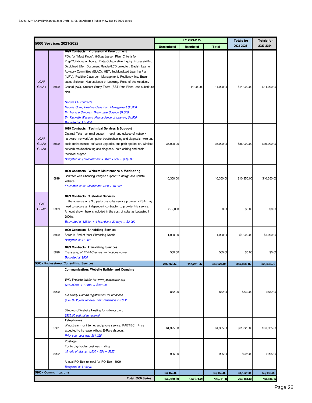|                               |                         |                                                                                                                                                                                                                                                                                                                                                                                                                                                                                                                                                                                                                                                                                                                                                       |                     | FY 2021-2022 |              | <b>Totals for</b> | <b>Totals for</b> |
|-------------------------------|-------------------------|-------------------------------------------------------------------------------------------------------------------------------------------------------------------------------------------------------------------------------------------------------------------------------------------------------------------------------------------------------------------------------------------------------------------------------------------------------------------------------------------------------------------------------------------------------------------------------------------------------------------------------------------------------------------------------------------------------------------------------------------------------|---------------------|--------------|--------------|-------------------|-------------------|
|                               | 5000 Services 2021-2022 |                                                                                                                                                                                                                                                                                                                                                                                                                                                                                                                                                                                                                                                                                                                                                       | <b>Unrestricted</b> | Restricted   | <b>Total</b> | 2022-2023         | 2023-2024         |
| <b>LCAP</b><br>G4/AA          | 5899                    | 1099 Contracts: Professional Development<br>PD's for "Must Know": 8-Step Lesson Plan, Criteria for<br>Prep/Collaboration hours, Data Collaborative Inquiry Process/4R's,<br>Disciplined Life, Document Reader/LCD projector, English Learner<br>Advisory Committee (ELAC), HET, Individualized Learning Plan<br>(ILP's), Positive Classroom Management, Resiliency Inc. Brain-<br>based Science, Neuroscience of Learning, Roles of the Academy<br>Council (AC), Student Study Team (SST)/504 Plans, and substitute<br>plan.<br><b>Secure PD contracts:</b><br>Delores Cook, Positive Classroom Management \$5,000<br>Dr. Horacio Sanchez, Brain-base Science \$4,500<br>Dr. Kenneth Wesson, Neuroscience of Learning \$4,500<br>Budgeted at \$14,000 |                     | 14,000.00    | 14,000.00    | \$14,000.00       | \$14,000.00       |
| <b>LCAP</b><br>G2/A2<br>G2/A3 | 5899                    | 1099 Contracts: Technical Services & Support<br>Optimal Teks technical support: repair and upkeep of network<br>hardware, network/computer troubleshooting and diagnosis, wire and<br>cable maintenance, software upgrades and path application, wireless<br>network troubleshooting and diagnosis, data cabling and basic<br>technical support.<br>Budgeted at $$72/enrollment + staff \times 500 = $36,000$ .                                                                                                                                                                                                                                                                                                                                       | 36,000.00           |              | 36,000.00    | \$36,000.00       | \$36,000.00       |
|                               | 5899                    | 1099 Contracts: Website Maintenance & Monitoring<br>Contract with Channing Vang to support to design and update<br>website.<br>Estimated at \$23/enrollment $x450 = 10,350$                                                                                                                                                                                                                                                                                                                                                                                                                                                                                                                                                                           | 10,350.00           |              | 10,350.00    | \$10,350.00       | \$10,350.00       |
| <b>LCAP</b><br>G3/A2          | 5899                    | 1099 Contracts: Custodial Services<br>In the absence of a 3rd party custodial service provider YPSA may<br>need to secure an independent contractor to provide this service.<br>Amount shown here is included in the cost of subs as budgeted in<br>2000's.<br>Estimated at \$25/hr. $x$ 4 hrs./day $x$ 20 days = \$2,000                                                                                                                                                                                                                                                                                                                                                                                                                             | $x = 2,000$         |              | 0.00         | \$0.00            | \$0.00            |
|                               | 5899                    | 1099 Contracts: Shredding Services<br>Shred-It End of Year Shredding Needs<br>Budgeted at \$1,000                                                                                                                                                                                                                                                                                                                                                                                                                                                                                                                                                                                                                                                     | 1.000.00            |              | 1.000.00     | \$1,000.00        | \$1,000.00        |
|                               | 5899                    | 1099 Contracts: Translating Services<br>Translating of ELPAC letters and notices home.<br>Budgeted at \$500                                                                                                                                                                                                                                                                                                                                                                                                                                                                                                                                                                                                                                           | 500.00              |              | 500.00       | \$0.00            | \$0.00            |
|                               |                         | 5800 - Professional/Consulting Services                                                                                                                                                                                                                                                                                                                                                                                                                                                                                                                                                                                                                                                                                                               | 235.753.69          | 147.271.26   | 383.024.95   | 355.898.16        | 351.532.72        |
|                               | 5900                    | Communication: Website Builder and Domains<br>WIX Website builder for www.ypsacharter.org<br>$$22.00/mol. x 12 mo. = $264.00$<br>Go Daddy Domain registrations for urbancsc<br>\$243.00 2 year renewal, next renewal is in 2022<br>Siteground Website Hosting for urbancsc.org<br>\$325.00 estimated renewal                                                                                                                                                                                                                                                                                                                                                                                                                                          | 832.00              |              | 832.00       | \$832.00          | \$832.00          |
|                               | 5901                    | Telephones<br>Windstream for internet and phone service. PAETEC. Price<br>expected to increase without E-Rate discount.<br>Prior year cost was \$61,325                                                                                                                                                                                                                                                                                                                                                                                                                                                                                                                                                                                               | 61,325.00           |              | 61,325.00    | \$61,325.00       | \$61,325.00       |
|                               | 5902                    | Postage<br>For to day-to-day business mailing.<br>15 rolls of stamp: $1,500 \times 55¢ = $825$<br>Annual PO Box renewal for PO Box 18929<br>Budgeted at \$170/yr.                                                                                                                                                                                                                                                                                                                                                                                                                                                                                                                                                                                     | 995.00              |              | 995.00       | \$995.00          | \$995.00          |
|                               | 5900 - Communications   |                                                                                                                                                                                                                                                                                                                                                                                                                                                                                                                                                                                                                                                                                                                                                       | 63, 152.00          |              | 63, 152.00   | 63, 152.00        | 63, 152.00        |
|                               |                         | <b>Total 5000 Series</b>                                                                                                                                                                                                                                                                                                                                                                                                                                                                                                                                                                                                                                                                                                                              | 639,469.89          | 153,271.26   | 792,741.15   | 763, 181.86       | 758,816.42        |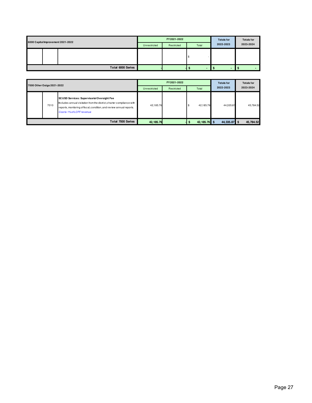| 6000 Capital Improvement 2021-2022 |  |                   | FY 2021-2022 | <b>Totals for</b> | <b>Totals for</b>        |                |           |
|------------------------------------|--|-------------------|--------------|-------------------|--------------------------|----------------|-----------|
|                                    |  |                   | Unrestricted | Restricted        | Total                    | 2022-2023      | 2023-2024 |
|                                    |  |                   |              |                   |                          |                |           |
|                                    |  | Total 6000 Series |              |                   | $\overline{\phantom{a}}$ | $\blacksquare$ |           |

| 7000 Other Outgo 2021-2022 |      |                                                                                                                                                                                                                                         | FY 2021-2022 |       | <b>Totals for</b><br>2022-2023 | <b>Totals for</b><br>2023-2024 |           |
|----------------------------|------|-----------------------------------------------------------------------------------------------------------------------------------------------------------------------------------------------------------------------------------------|--------------|-------|--------------------------------|--------------------------------|-----------|
|                            |      | Unrestricted                                                                                                                                                                                                                            | Restricted   | Total |                                |                                |           |
|                            | 7010 | <b>SCUSD Services: Supervisorial Oversight Fee</b><br>Includes annual visitation from the district, charter compliance with<br>reports, monitoring of fiscal, condition, and review annual reports.<br><b>Costis 1% of LCFF revenue</b> | 42,185.76    |       | 42,185.76                      | 44,335.87                      | 45.784.52 |
|                            |      | <b>Total 7000 Series</b>                                                                                                                                                                                                                | 42, 185.76   |       | 42, 185.76 \$                  | 44,335.87 \$                   | 45,784.52 |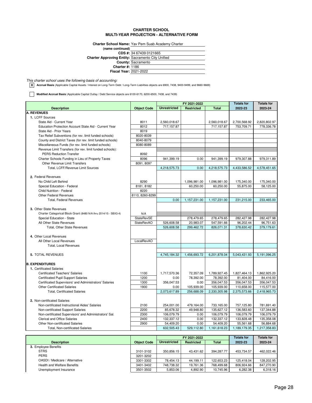#### **CHARTER SCHOOL MULTI-YEAR PROJECTION - ALTERNATIVE FORM**

**Charter School Name:** Yav Pem Suab Academy Charter

| (name continued)                                         |                           |
|----------------------------------------------------------|---------------------------|
|                                                          | CDS #: 34 67439 0121665   |
| <b>Charter Approving Entity: Sacramento City Unified</b> |                           |
|                                                          | <b>County: Sacramento</b> |
| <b>Charter #: 1186</b>                                   |                           |
| <b>Fiscal Year: 2021-2022</b>                            |                           |

This charter school uses the following basis of accounting:

**X Accrual Basis** (Applicable Capital Assets / Interest on Long-Term Debt / Long-Term Liabilities objects are 6900, 7438, 9400-9499, and 9660-9669)

**Modified Accrual Basis** (Applicable Capital Outlay / Debt Service objects are 6100-6170, 6200-6500, 7438, and 7439)

|                                                                  |                    |                     | FY 2021-2022      |              | <b>Totals for</b> | <b>Totals for</b> |
|------------------------------------------------------------------|--------------------|---------------------|-------------------|--------------|-------------------|-------------------|
| <b>Description</b>                                               | <b>Object Code</b> | <b>Unrestricted</b> | <b>Restricted</b> | <b>Total</b> | 2022-23           | 2023-24           |
| <b>A. REVENUES</b>                                               |                    |                     |                   |              |                   |                   |
| 1. LCFF Sources                                                  |                    |                     |                   |              |                   |                   |
| State Aid - Current Year                                         | 8011               | 2,560,018.67        |                   | 2,560,018.67 | 2,700,568.92      | 2,820,802.97      |
| Education Protection Account State Aid - Current Year            | 8012               | 717,157.87          |                   | 717,157.87   | 753,709.71        | 778,336.78        |
| State Aid - Prior Years                                          | 8019               |                     |                   |              |                   |                   |
| Tax Relief Subventions (for rev. limit funded schools)           | 8020-8039          |                     |                   |              |                   |                   |
| County and District Taxes (for rev. limit funded schools)        | 8040-8079          |                     |                   |              |                   |                   |
| Miscellaneous Funds (for rev. limit funded schools)              | 8080-8089          |                     |                   |              |                   |                   |
| Revenue Limit Transfers (for rev. limit funded schools):         |                    |                     |                   |              |                   |                   |
| <b>PERS Reduction Transfer</b>                                   | 8092               |                     |                   |              |                   |                   |
| Charter Schools Funding in Lieu of Property Taxes                | 8096               | 941,399.19          | 0.00              | 941,399.19   | 979,307.88        | 979,311.89        |
| Other Revenue Limit Transfers                                    | 8091, 8097         |                     |                   |              |                   |                   |
| Total, LCFF/Revenue Limit Sources                                |                    | 4,218,575.73        | 0.00              | 4,218,575.73 | 4,433,586.52      | 4,578,451.65      |
|                                                                  |                    |                     |                   |              |                   |                   |
| 2. Federal Revenues                                              |                    |                     |                   |              |                   |                   |
| No Child Left Behind                                             | 8290               |                     | 1,096,981.00      | 1,096,981.00 | 175,340.00        | 175,340.00        |
| Special Education - Federal                                      | 8181, 8182         |                     | 60,250.00         | 60,250.00    | 55,875.00         | 58,125.00         |
| Child Nutrition - Federal                                        | 8220               |                     |                   |              |                   |                   |
| <b>Other Federal Revenues</b>                                    | 8110, 8260-8299    |                     |                   |              |                   |                   |
| <b>Total, Federal Revenues</b>                                   |                    | 0.00                | 1,157,231.00      | 1,157,231.00 | 231,215.00        | 233,465.00        |
|                                                                  |                    |                     |                   |              |                   |                   |
| 3. Other State Revenues                                          |                    |                     |                   |              |                   |                   |
| Charter Categorical Block Grant (8480 N/A thru 2014/15 - SBX3-4) | N/A                |                     |                   |              |                   |                   |
| Special Education - State                                        | <b>StateRevSE</b>  |                     | 278,479.65        | 278,479.65   | 282,427.98        | 282,427.98        |
| All Other State Revenues                                         | <b>StateRevAO</b>  | 526.608.58          | 20.983.07         | 547,591.66   | 96.202.44         | 96.751.63         |
| Total, Other State Revenues                                      |                    | 526,608.58          | 299,462.72        | 826,071.31   | 378,630.42        | 379,179.61        |
|                                                                  |                    |                     |                   |              |                   |                   |
| 4. Other Local Revenues                                          |                    |                     |                   |              |                   |                   |
| All Other Local Revenues                                         | LocalRevAO         |                     |                   |              |                   |                   |
| <b>Total, Local Revenues</b>                                     |                    |                     |                   |              |                   |                   |
|                                                                  |                    |                     |                   |              |                   |                   |
| <b>5. TOTAL REVENUES</b>                                         |                    | 4,745,184.32        | 1,456,693.72      | 6,201,878.04 | 5,043,431.93      | 5,191,096.25      |
|                                                                  |                    |                     |                   |              |                   |                   |
| <b>B. EXPENDITURES</b>                                           |                    |                     |                   |              |                   |                   |
| 1. Certificated Salaries                                         |                    |                     |                   |              |                   |                   |
| <b>Certificated Teachers' Salaries</b>                           | 1100               | 1,717,570.36        | 72,357.09         | 1,789,927.45 | 1,827,464.13      | 1,862,925.20      |
| <b>Certificated Pupil Support Salaries</b>                       | 1200               | 0.00                | 78,392.00         | 78,392.00    | 81,404.00         | 84,416.00         |
| Certificated Supervisors' and Administrators' Salaries           | 1300               | 356.047.53          | 0.00              | 356,047.53   | 356,047.53        | 356,047.53        |
| <b>Other Certificated Salaries</b>                               | 1900               | 0.00                | 105,939.00        | 105,939.00   | 110,658.00        | 115,577.00        |
| <b>Total, Certificated Salaries</b>                              |                    | 2,073,617.89        | 256,688.09        | 2,330,305.98 | 2,375,573.66      | 2,418,965.73      |
|                                                                  |                    |                     |                   |              |                   |                   |
| 2. Non-certificated Salaries                                     |                    |                     |                   |              |                   |                   |
| Non-certificated Instructional Aides' Salaries                   | 2100               | 254,001.00          | 479,164.00        | 733,165.00   | 757,125.80        | 781,691.40        |
| Non-certificated Support Salaries                                | 2200               | 85,678.32           | 49,948.80         | 135,627.12   | 136,583.60        | 137,344.88        |
| Non-certificated Supervisors' and Administrators' Sal.           | 2300               | 106,079.79          | 0.00              | 106,079.79   | 106,079.79        | 106,079.79        |
| Clerical and Office Salaries                                     | 2400               | 132,337.12          | 0.00              | 132,337.12   | 133,828.48        | 135,358.08        |
| <b>Other Non-certificated Salaries</b>                           | 2900               | 54,409.20           | 0.00              | 54,409.20    | 55,561.68         | 56,884.68         |
| <b>Total. Non-certificated Salaries</b>                          |                    | 632,505.43          | 529.112.80        | 1,161,618.23 | 1,189,179.35      | 1,217,358.83      |

|                                |                    | FY 2021-2022        |                   |              | <b>Totals for</b> | <b>Totals for</b> |
|--------------------------------|--------------------|---------------------|-------------------|--------------|-------------------|-------------------|
| <b>Description</b>             | <b>Object Code</b> | <b>Unrestricted</b> | <b>Restricted</b> | <b>Total</b> | 2022-23           | 2023-24           |
| 3. Employee Benefits           |                    |                     |                   |              |                   |                   |
| <b>STRS</b>                    | 3101-3102          | 350.856.15          | 43.431.62         | 394.287.77   | 453.734.57        | 462.022.46        |
| <b>PERS</b>                    | 3201-3202          |                     |                   |              |                   |                   |
| OASDI / Medicare / Alternative | 3301-3302          | 78.454.13           | 44.199.11         | 122.653.23   | 125.418.04        | 128.202.95        |
| Health and Welfare Benefits    | 3401-3402          | 748.738.32          | 19.761.36         | 768.499.68   | 806.924.66        | 847.270.90        |
| Unemployment Insurance         | 3501-3502          | 5,853.06            | 4,892.90          | 10.745.96    | 6,282.38          | 6,318.16          |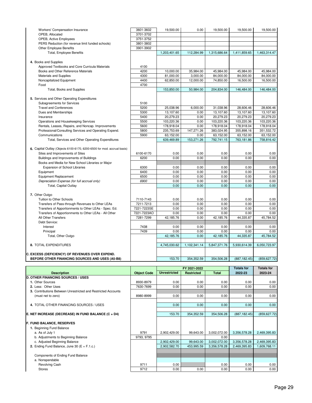| Workers' Compensation Insurance                                         | 3601-3602          | 19,500.00           | 0.00         | 19,500.00            | 19,500.00         | 19,500.00         |
|-------------------------------------------------------------------------|--------------------|---------------------|--------------|----------------------|-------------------|-------------------|
| OPEB, Allocated                                                         | 3701-3702          |                     |              |                      |                   |                   |
| OPEB, Active Employees                                                  | 3751-3752          |                     |              |                      |                   |                   |
| PERS Reduction (for revenue limit funded schools)                       | 3801-3802          |                     |              |                      |                   |                   |
| <b>Other Employee Benefits</b>                                          | 3901-3902          |                     |              |                      |                   |                   |
| <b>Total, Employee Benefits</b>                                         |                    | 1,203,401.65        | 112,284.99   | 1,315,686.64         | 1,411,859.65      | 1,463,314.47      |
|                                                                         |                    |                     |              |                      |                   |                   |
| 4. Books and Supplies                                                   |                    |                     |              |                      |                   |                   |
| Approved Textbooks and Core Curricula Materials                         | 4100               |                     |              |                      |                   |                   |
| Books and Other Reference Materials                                     | 4200               | 10,000.00           | 35,984.00    | 45,984.00            | 45,984.00         | 45,984.00         |
| Materials and Supplies                                                  | 4300               | 81,000.00           | 3,000.00     | 84,000.00            | 84,000.00         | 84,000.00         |
| Noncapitalized Equipment                                                | 4400               | 62,850.00           | 12,000.00    | 74,850.00            | 16,500.00         | 16,500.00         |
| Food                                                                    | 4700               |                     |              |                      |                   |                   |
| Total, Books and Supplies                                               |                    | 153,850.00          | 50,984.00    | 204,834.00           | 146,484.00        | 146,484.00        |
|                                                                         |                    |                     |              |                      |                   |                   |
| 5. Services and Other Operating Expenditures                            |                    |                     |              |                      |                   |                   |
| Subagreements for Services                                              | 5100               |                     |              |                      |                   |                   |
| <b>Travel and Conferences</b>                                           | 5200               | 25,038.96           | 6,000.00     | 31,038.96            | 28,606.46         | 28,606.46         |
| Dues and Memberships                                                    | 5300               | 13,107.60           | 0.00         | 13,107.60            | 13,107.60         | 13,107.60         |
| Insurance                                                               | 5400               | 20,279.23           | 0.00         | 20,279.23            | 20,279.23         | 20,279.23         |
| Operations and Housekeeping Services                                    | 5500               | 103,220.36          | 0.00         | 103,220.36           | 103,220.36        | 103,220.36        |
| Rentals, Leases, Repairs, and Noncap. Improvements                      | 5600               | 178,918.04          | 0.00         | 178,918.04           | 178,918.04        | 178,918.04        |
| Professional/Consulting Services and Operating Expend.                  | 5800               | 235,753.69          | 147,271.26   | 383,024.95           | 355,898.16        | 351,532.72        |
| Communications                                                          | 5900               | 63,152.00           | 0.00         | 63,152.00            | 63,152.00         | 63,152.00         |
| Total, Services and Other Operating Expenditures                        |                    | 639,469.89          | 153,271.26   | 792,741.15           | 763,181.86        | 758,816.42        |
|                                                                         |                    |                     |              |                      |                   |                   |
| 6. Capital Outlay (Objects 6100-6170, 6200-6500 for mod. accrual basis) |                    |                     |              |                      |                   |                   |
|                                                                         |                    |                     |              |                      |                   |                   |
| Sites and Improvements of Sites                                         | 6100-6170          | 0.00                | 0.00         | 0.00                 | 0.00              | 0.00              |
| Buildings and Improvements of Buildings                                 | 6200               | 0.00                | 0.00         | 0.00                 | 0.00              | 0.00              |
| Books and Media for New School Libraries or Major                       |                    |                     |              |                      |                   |                   |
| <b>Expansion of School Libraries</b>                                    | 6300               | 0.00                | 0.00         | 0.00                 | 0.00              | 0.00              |
| Equipment                                                               | 6400               | 0.00                | 0.00         | 0.00                 | 0.00              | 0.00              |
| Equipment Replacement                                                   | 6500               | 0.00                | 0.00         | 0.00                 | 0.00              | 0.00              |
| Depreciation Expense (for full accrual only)                            | 6900               | 0.00                | 0.00         | 0.00                 | 0.00              | 0.00              |
| Total, Capital Outlay                                                   |                    | 0.00                | 0.00         | 0.00                 | 0.00              | 0.00              |
|                                                                         |                    |                     |              |                      |                   |                   |
| 7. Other Outgo                                                          |                    |                     |              |                      |                   |                   |
|                                                                         |                    |                     |              |                      |                   |                   |
| Tuition to Other Schools                                                | 7110-7143          | 0.00                | 0.00         | 0.00                 | 0.00              | 0.00              |
| Transfers of Pass-through Revenues to Other LEAs                        | 7211-7213          | 0.00                | 0.00         | 0.00                 | 0.00              | 0.00              |
| Transfers of Apportionments to Other LEAs - Spec. Ed.                   | 7221-7223SE        | 0.00                | 0.00         | 0.00                 | 0.00              | 0.00              |
| Transfers of Apportionments to Other LEAs - All Other                   | 7221-7223AO        | 0.00                | 0.00         | 0.00                 | 0.00              | 0.00              |
| All Other Transfers                                                     | 7281-7299          | 42,185.76           | 0.00         | 42,185.76            | 44,335.87         | 45,784.52         |
| Debt Service:                                                           |                    |                     |              |                      |                   |                   |
| Interest                                                                | 7438               | 0.00                | 0.00         | 0.00                 | 0.00              | 0.00              |
| Principal                                                               | 7439               | 0.00                | 0.00         | 0.00                 | 0.00              | 0.00              |
| Total, Other Outgo                                                      |                    | 42,185.76           | 0.00         | 42,185.76            | 44,335.87         | 45,784.52         |
|                                                                         |                    |                     |              |                      |                   |                   |
| 8. TOTAL EXPENDITURES                                                   |                    | 4,745,030.62        | 1,102,341.14 | 5,847,371.76         | 5,930,614.39      | 6,050,723.97      |
|                                                                         |                    |                     |              |                      |                   |                   |
| <b>C. EXCESS (DEFICIENCY) OF REVENUES OVER EXPEND.</b>                  |                    |                     |              |                      |                   |                   |
| BEFORE OTHER FINANCING SOURCES AND USES (A5-B8)                         |                    | 153.70              | 354,352.59   | 354,506.28           | (887, 182.45)     | (859, 627.72)     |
|                                                                         |                    |                     |              |                      |                   |                   |
|                                                                         |                    |                     | FY 2021-2022 |                      | <b>Totals for</b> | <b>Totals for</b> |
| <b>Description</b>                                                      | <b>Object Code</b> | <b>Unrestricted</b> | Restricted   | <b>Total</b>         | 2022-23           | 2023-24           |
| <b>D. OTHER FINANCING SOURCES / USES</b>                                |                    |                     |              |                      |                   |                   |
| 1. Other Sources                                                        | 8930-8979          | 0.00                | 0.00         | 0.00                 | 0.00              | 0.00              |
| 2. Less: Other Uses                                                     | 7630-7699          | 0.00                | 0.00         | 0.00                 | 0.00              | 0.00              |
| 3. Contributions Between Unrestricted and Restricted Accounts           |                    |                     |              |                      |                   |                   |
| (must net to zero)                                                      | 8980-8999          | 0.00                | 0.00         | 0.00                 | 0.00              | 0.00              |
|                                                                         |                    |                     |              |                      |                   |                   |
| 4. TOTAL OTHER FINANCING SOURCES / USES                                 |                    | 0.00                | 0.00         | 0.00                 | 0.00              | 0.00              |
|                                                                         |                    |                     |              |                      |                   |                   |
|                                                                         |                    | 153.70              | 354,352.59   | 354,506.28           | (887, 182.45)     | (859, 627.72)     |
| E. NET INCREASE (DECREASE) IN FUND BALANCE (C + D4)                     |                    |                     |              |                      |                   |                   |
| F. FUND BALANCE, RESERVES                                               |                    |                     |              |                      |                   |                   |
|                                                                         |                    |                     |              |                      |                   |                   |
| 1. Beginning Fund Balance                                               |                    |                     |              |                      |                   |                   |
| a. As of July 1                                                         | 9791               | 2,902,429.00        | 99,643.00    | 3,002,072.00<br>0.00 | 3,356,578.28      | 2,469,395.83      |
| b. Adjustments to Beginning Balance                                     | 9793, 9795         |                     |              |                      |                   |                   |
| c. Adjusted Beginning Balance                                           |                    | 2,902,429.00        | 99,643.00    | 3,002,072.00         | 3,356,578.28      | 2,469,395.83      |
| 2. Ending Fund Balance, June 30 (E + F.1.c.)                            |                    | 2,902,582.70        | 453,995.59   | 3,356,578.28         | 2,469,395.83      | 1,609,768.11      |
|                                                                         |                    |                     |              |                      |                   |                   |
| Components of Ending Fund Balance                                       |                    |                     |              |                      |                   |                   |
| a. Nonspendable                                                         |                    |                     |              |                      |                   |                   |
| Revolving Cash<br><b>Stores</b>                                         | 9711<br>9712       | 0.00<br>0.00        | 0.00         | 0.00<br>0.00         | 0.00<br>0.00      | 0.00<br>0.00      |